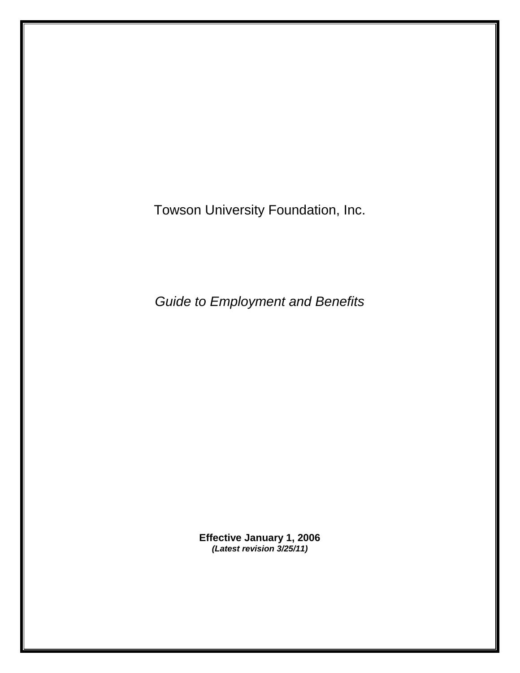Towson University Foundation, Inc.

*Guide to Employment and Benefits*

**Effective January 1, 2006** *(Latest revision 3/25/11)*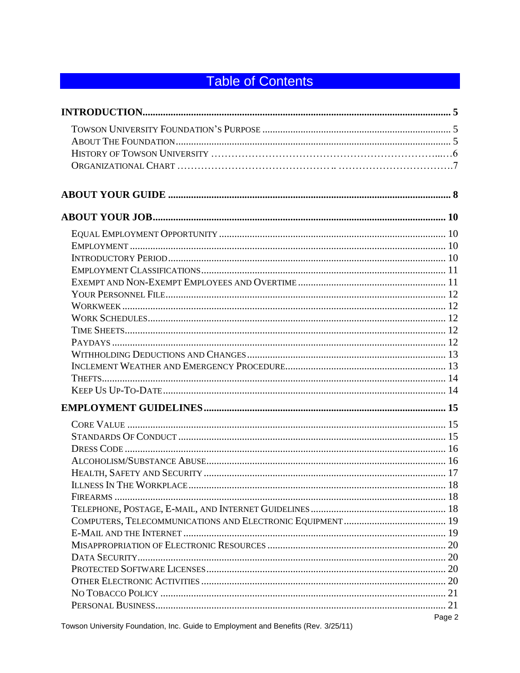# **Table of Contents**

| Page 2 |
|--------|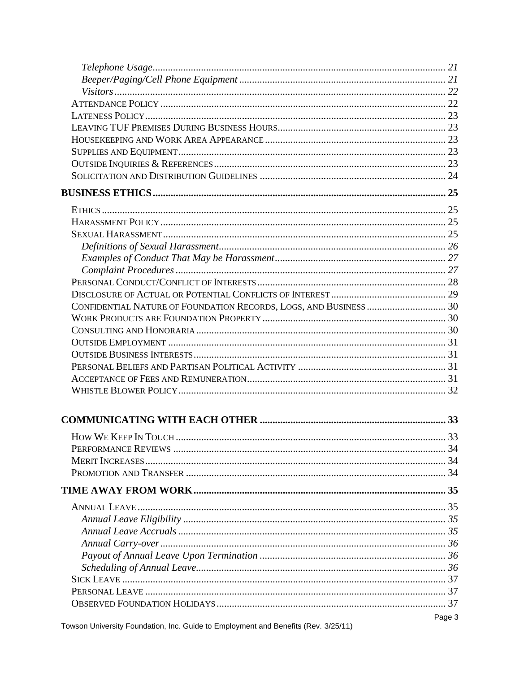| CONFIDENTIAL NATURE OF FOUNDATION RECORDS, LOGS, AND BUSINESS  30 |        |
|-------------------------------------------------------------------|--------|
|                                                                   |        |
|                                                                   |        |
|                                                                   |        |
|                                                                   |        |
|                                                                   |        |
|                                                                   |        |
|                                                                   |        |
|                                                                   |        |
|                                                                   |        |
|                                                                   |        |
|                                                                   |        |
|                                                                   |        |
|                                                                   |        |
|                                                                   |        |
|                                                                   |        |
|                                                                   |        |
|                                                                   |        |
|                                                                   |        |
|                                                                   |        |
|                                                                   |        |
|                                                                   |        |
|                                                                   |        |
|                                                                   |        |
|                                                                   | Page 3 |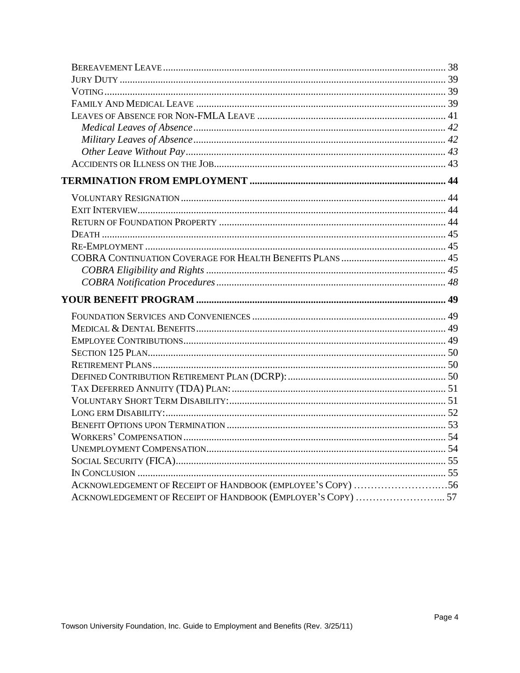| ACKNOWLEDGEMENT OF RECEIPT OF HANDBOOK (EMPLOYEE'S COPY) 56 |  |
|-------------------------------------------------------------|--|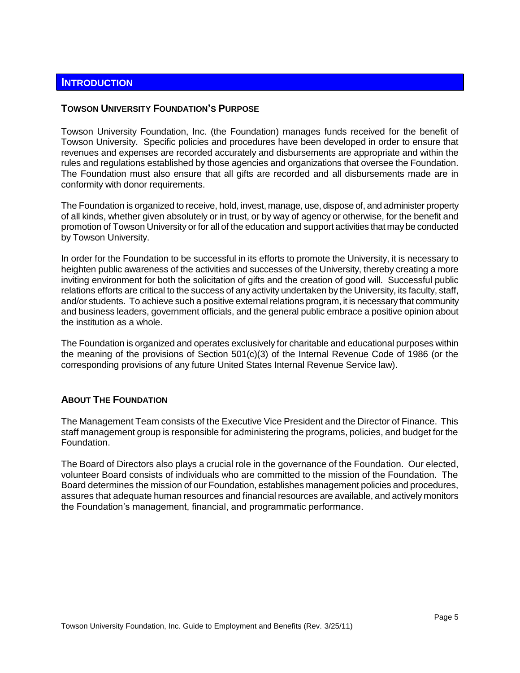# <span id="page-4-0"></span>**INTRODUCTION**

#### <span id="page-4-1"></span>**TOWSON UNIVERSITY FOUNDATION'S PURPOSE**

Towson University Foundation, Inc. (the Foundation) manages funds received for the benefit of Towson University. Specific policies and procedures have been developed in order to ensure that revenues and expenses are recorded accurately and disbursements are appropriate and within the rules and regulations established by those agencies and organizations that oversee the Foundation. The Foundation must also ensure that all gifts are recorded and all disbursements made are in conformity with donor requirements.

The Foundation is organized to receive, hold, invest, manage, use, dispose of, and administer property of all kinds, whether given absolutely or in trust, or by way of agency or otherwise, for the benefit and promotion of Towson University or for all of the education and support activities that may be conducted by Towson University.

In order for the Foundation to be successful in its efforts to promote the University, it is necessary to heighten public awareness of the activities and successes of the University, thereby creating a more inviting environment for both the solicitation of gifts and the creation of good will. Successful public relations efforts are critical to the success of any activity undertaken by the University, its faculty, staff, and/or students. To achieve such a positive external relations program, it is necessary that community and business leaders, government officials, and the general public embrace a positive opinion about the institution as a whole.

The Foundation is organized and operates exclusively for charitable and educational purposes within the meaning of the provisions of Section 501(c)(3) of the Internal Revenue Code of 1986 (or the corresponding provisions of any future United States Internal Revenue Service law).

#### <span id="page-4-2"></span>**ABOUT THE FOUNDATION**

The Management Team consists of the Executive Vice President and the Director of Finance. This staff management group is responsible for administering the programs, policies, and budget for the Foundation.

The Board of Directors also plays a crucial role in the governance of the Foundation. Our elected, volunteer Board consists of individuals who are committed to the mission of the Foundation. The Board determines the mission of our Foundation, establishes management policies and procedures, assures that adequate human resources and financial resources are available, and actively monitors the Foundation's management, financial, and programmatic performance.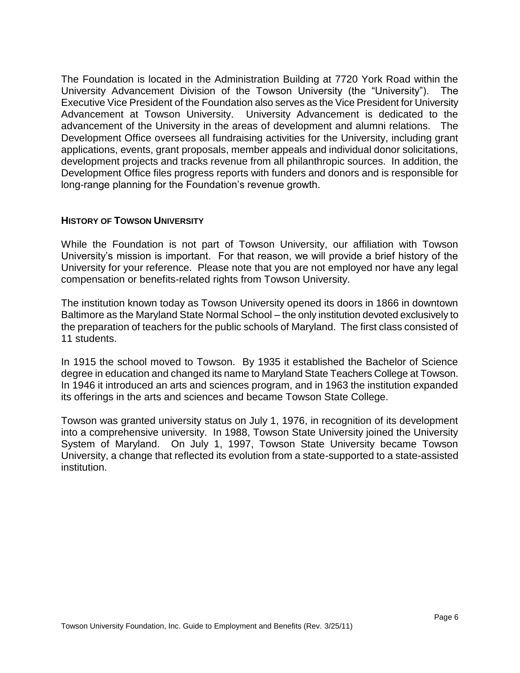The Foundation is located in the Administration Building at 7720 York Road within the University Advancement Division of the Towson University (the "University"). The Executive Vice President of the Foundation also serves as the Vice President for University Advancement at Towson University. University Advancement is dedicated to the advancement of the University in the areas of development and alumni relations. The Development Office oversees all fundraising activities for the University, including grant applications, events, grant proposals, member appeals and individual donor solicitations, development projects and tracks revenue from all philanthropic sources. In addition, the Development Office files progress reports with funders and donors and is responsible for long-range planning for the Foundation's revenue growth.

# <span id="page-5-0"></span>**HISTORY OF TOWSON UNIVERSITY**

While the Foundation is not part of Towson University, our affiliation with Towson University's mission is important. For that reason, we will provide a brief history of the University for your reference. Please note that you are not employed nor have any legal compensation or benefits-related rights from Towson University.

The institution known today as Towson University opened its doors in 1866 in downtown Baltimore as the Maryland State Normal School – the only institution devoted exclusively to the preparation of teachers for the public schools of Maryland. The first class consisted of 11 students.

In 1915 the school moved to Towson. By 1935 it established the Bachelor of Science degree in education and changed its name to Maryland State Teachers College at Towson. In 1946 it introduced an arts and sciences program, and in 1963 the institution expanded its offerings in the arts and sciences and became Towson State College.

Towson was granted university status on July 1, 1976, in recognition of its development into a comprehensive university. In 1988, Towson State University joined the University System of Maryland. On July 1, 1997, Towson State University became Towson University, a change that reflected its evolution from a state-supported to a state-assisted institution.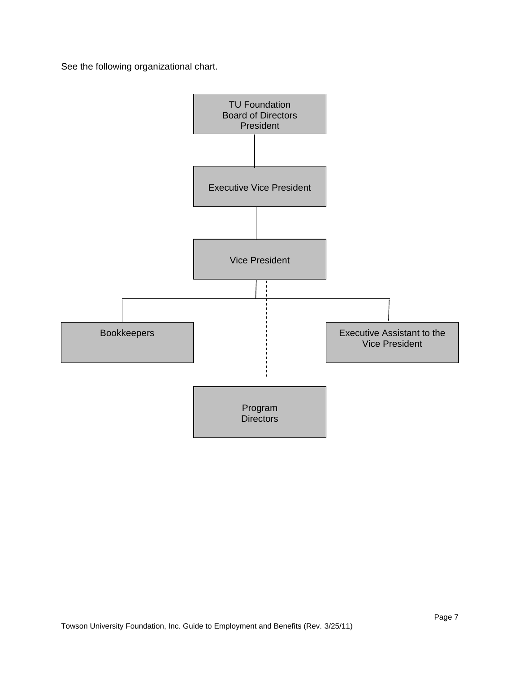See the following organizational chart.

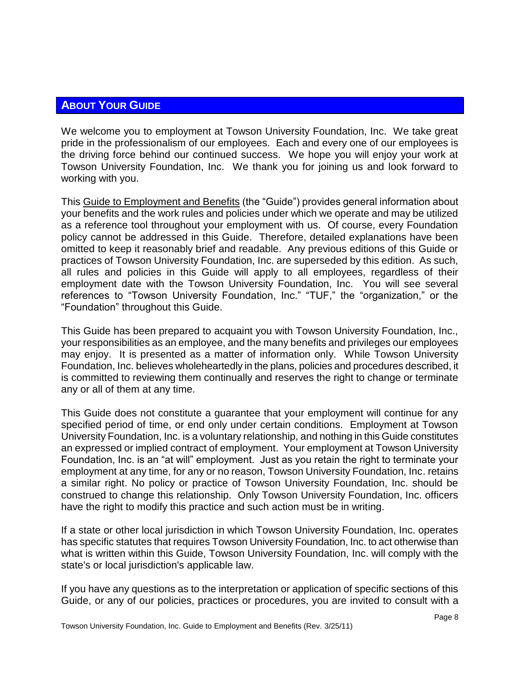# <span id="page-7-0"></span>**ABOUT YOUR GUIDE**

We welcome you to employment at Towson University Foundation, Inc. We take great pride in the professionalism of our employees. Each and every one of our employees is the driving force behind our continued success. We hope you will enjoy your work at Towson University Foundation, Inc. We thank you for joining us and look forward to working with you.

This Guide to Employment and Benefits (the "Guide") provides general information about your benefits and the work rules and policies under which we operate and may be utilized as a reference tool throughout your employment with us. Of course, every Foundation policy cannot be addressed in this Guide. Therefore, detailed explanations have been omitted to keep it reasonably brief and readable. Any previous editions of this Guide or practices of Towson University Foundation, Inc. are superseded by this edition. As such, all rules and policies in this Guide will apply to all employees, regardless of their employment date with the Towson University Foundation, Inc. You will see several references to "Towson University Foundation, Inc." "TUF," the "organization," or the "Foundation" throughout this Guide.

This Guide has been prepared to acquaint you with Towson University Foundation, Inc., your responsibilities as an employee, and the many benefits and privileges our employees may enjoy. It is presented as a matter of information only. While Towson University Foundation, Inc. believes wholeheartedly in the plans, policies and procedures described, it is committed to reviewing them continually and reserves the right to change or terminate any or all of them at any time.

This Guide does not constitute a guarantee that your employment will continue for any specified period of time, or end only under certain conditions. Employment at Towson University Foundation, Inc. is a voluntary relationship, and nothing in this Guide constitutes an expressed or implied contract of employment. Your employment at Towson University Foundation, Inc. is an "at will" employment. Just as you retain the right to terminate your employment at any time, for any or no reason, Towson University Foundation, Inc. retains a similar right. No policy or practice of Towson University Foundation, Inc. should be construed to change this relationship. Only Towson University Foundation, Inc. officers have the right to modify this practice and such action must be in writing.

If a state or other local jurisdiction in which Towson University Foundation, Inc. operates has specific statutes that requires Towson University Foundation, Inc. to act otherwise than what is written within this Guide, Towson University Foundation, Inc. will comply with the state's or local jurisdiction's applicable law.

If you have any questions as to the interpretation or application of specific sections of this Guide, or any of our policies, practices or procedures, you are invited to consult with a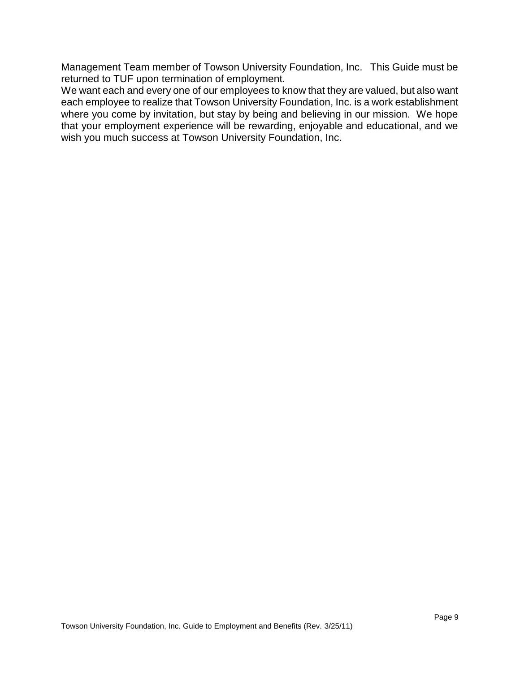Management Team member of Towson University Foundation, Inc. This Guide must be returned to TUF upon termination of employment.

We want each and every one of our employees to know that they are valued, but also want each employee to realize that Towson University Foundation, Inc. is a work establishment where you come by invitation, but stay by being and believing in our mission. We hope that your employment experience will be rewarding, enjoyable and educational, and we wish you much success at Towson University Foundation, Inc.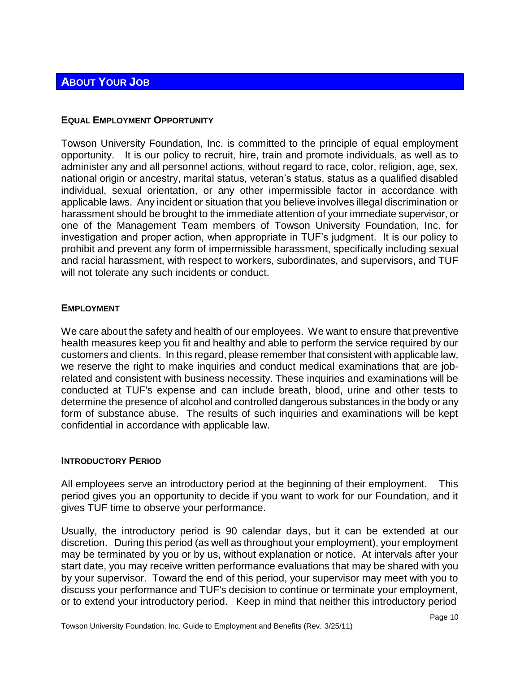# <span id="page-9-0"></span>**ABOUT YOUR JOB**

# <span id="page-9-1"></span>**EQUAL EMPLOYMENT OPPORTUNITY**

Towson University Foundation, Inc. is committed to the principle of equal employment opportunity. It is our policy to recruit, hire, train and promote individuals, as well as to administer any and all personnel actions, without regard to race, color, religion, age, sex, national origin or ancestry, marital status, veteran's status, status as a qualified disabled individual, sexual orientation, or any other impermissible factor in accordance with applicable laws. Any incident or situation that you believe involves illegal discrimination or harassment should be brought to the immediate attention of your immediate supervisor, or one of the Management Team members of Towson University Foundation, Inc. for investigation and proper action, when appropriate in TUF's judgment. It is our policy to prohibit and prevent any form of impermissible harassment, specifically including sexual and racial harassment, with respect to workers, subordinates, and supervisors, and TUF will not tolerate any such incidents or conduct.

# <span id="page-9-2"></span>**EMPLOYMENT**

We care about the safety and health of our employees. We want to ensure that preventive health measures keep you fit and healthy and able to perform the service required by our customers and clients. In this regard, please remember that consistent with applicable law, we reserve the right to make inquiries and conduct medical examinations that are jobrelated and consistent with business necessity. These inquiries and examinations will be conducted at TUF's expense and can include breath, blood, urine and other tests to determine the presence of alcohol and controlled dangerous substances in the body or any form of substance abuse. The results of such inquiries and examinations will be kept confidential in accordance with applicable law.

# <span id="page-9-3"></span>**INTRODUCTORY PERIOD**

All employees serve an introductory period at the beginning of their employment. This period gives you an opportunity to decide if you want to work for our Foundation, and it gives TUF time to observe your performance.

Usually, the introductory period is 90 calendar days, but it can be extended at our discretion. During this period (as well as throughout your employment), your employment may be terminated by you or by us, without explanation or notice. At intervals after your start date, you may receive written performance evaluations that may be shared with you by your supervisor. Toward the end of this period, your supervisor may meet with you to discuss your performance and TUF's decision to continue or terminate your employment, or to extend your introductory period. Keep in mind that neither this introductory period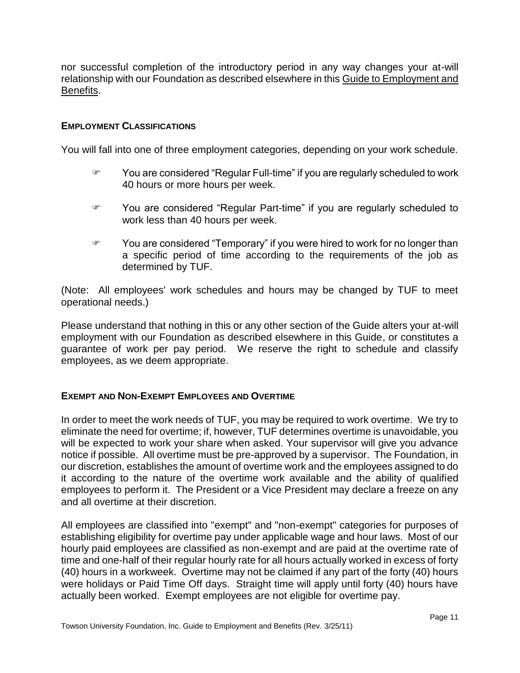nor successful completion of the introductory period in any way changes your at-will relationship with our Foundation as described elsewhere in this Guide to Employment and Benefits.

# <span id="page-10-0"></span>**EMPLOYMENT CLASSIFICATIONS**

You will fall into one of three employment categories, depending on your work schedule.

- You are considered "Regular Full-time" if you are regularly scheduled to work 40 hours or more hours per week.
- You are considered "Regular Part-time" if you are regularly scheduled to work less than 40 hours per week.
- You are considered "Temporary" if you were hired to work for no longer than a specific period of time according to the requirements of the job as determined by TUF.

(Note: All employees' work schedules and hours may be changed by TUF to meet operational needs.)

Please understand that nothing in this or any other section of the Guide alters your at-will employment with our Foundation as described elsewhere in this Guide, or constitutes a guarantee of work per pay period. We reserve the right to schedule and classify employees, as we deem appropriate.

# <span id="page-10-1"></span>**EXEMPT AND NON-EXEMPT EMPLOYEES AND OVERTIME**

In order to meet the work needs of TUF, you may be required to work overtime. We try to eliminate the need for overtime; if, however, TUF determines overtime is unavoidable, you will be expected to work your share when asked. Your supervisor will give you advance notice if possible. All overtime must be pre-approved by a supervisor. The Foundation, in our discretion, establishes the amount of overtime work and the employees assigned to do it according to the nature of the overtime work available and the ability of qualified employees to perform it. The President or a Vice President may declare a freeze on any and all overtime at their discretion.

All employees are classified into "exempt" and "non-exempt" categories for purposes of establishing eligibility for overtime pay under applicable wage and hour laws. Most of our hourly paid employees are classified as non-exempt and are paid at the overtime rate of time and one-half of their regular hourly rate for all hours actually worked in excess of forty (40) hours in a workweek. Overtime may not be claimed if any part of the forty (40) hours were holidays or Paid Time Off days. Straight time will apply until forty (40) hours have actually been worked. Exempt employees are not eligible for overtime pay.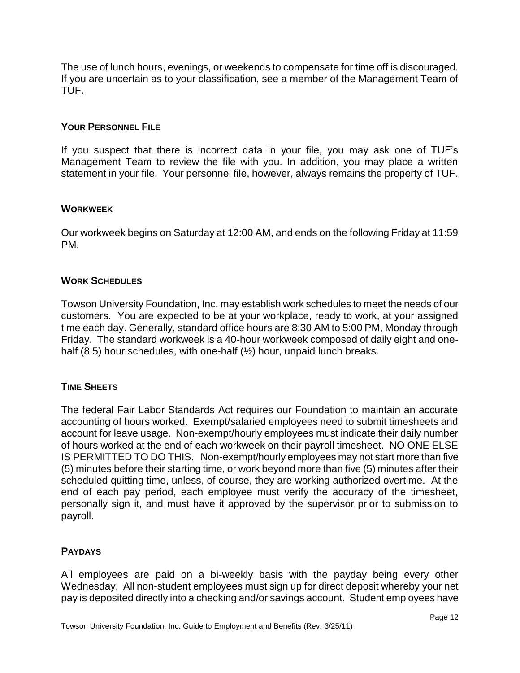The use of lunch hours, evenings, or weekends to compensate for time off is discouraged. If you are uncertain as to your classification, see a member of the Management Team of TUF.

# <span id="page-11-0"></span>**YOUR PERSONNEL FILE**

If you suspect that there is incorrect data in your file, you may ask one of TUF's Management Team to review the file with you. In addition, you may place a written statement in your file. Your personnel file, however, always remains the property of TUF.

# <span id="page-11-1"></span>**WORKWEEK**

Our workweek begins on Saturday at 12:00 AM, and ends on the following Friday at 11:59 PM.

# <span id="page-11-2"></span>**WORK SCHEDULES**

Towson University Foundation, Inc. may establish work schedules to meet the needs of our customers. You are expected to be at your workplace, ready to work, at your assigned time each day. Generally, standard office hours are 8:30 AM to 5:00 PM, Monday through Friday. The standard workweek is a 40-hour workweek composed of daily eight and onehalf (8.5) hour schedules, with one-half (1/2) hour, unpaid lunch breaks.

# <span id="page-11-3"></span>**TIME SHEETS**

The federal Fair Labor Standards Act requires our Foundation to maintain an accurate accounting of hours worked. Exempt/salaried employees need to submit timesheets and account for leave usage. Non-exempt/hourly employees must indicate their daily number of hours worked at the end of each workweek on their payroll timesheet. NO ONE ELSE IS PERMITTED TO DO THIS. Non-exempt/hourly employees may not start more than five (5) minutes before their starting time, or work beyond more than five (5) minutes after their scheduled quitting time, unless, of course, they are working authorized overtime. At the end of each pay period, each employee must verify the accuracy of the timesheet, personally sign it, and must have it approved by the supervisor prior to submission to payroll.

# <span id="page-11-4"></span>**PAYDAYS**

All employees are paid on a bi-weekly basis with the payday being every other Wednesday. All non-student employees must sign up for direct deposit whereby your net pay is deposited directly into a checking and/or savings account. Student employees have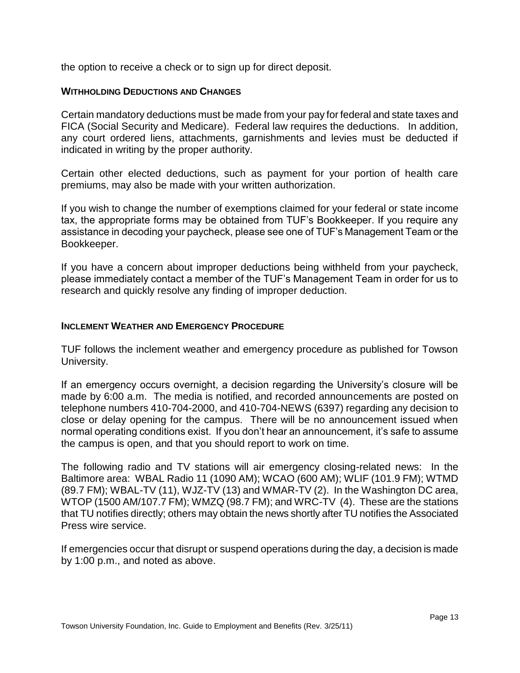the option to receive a check or to sign up for direct deposit.

# <span id="page-12-0"></span>**WITHHOLDING DEDUCTIONS AND CHANGES**

Certain mandatory deductions must be made from your pay for federal and state taxes and FICA (Social Security and Medicare). Federal law requires the deductions. In addition, any court ordered liens, attachments, garnishments and levies must be deducted if indicated in writing by the proper authority.

Certain other elected deductions, such as payment for your portion of health care premiums, may also be made with your written authorization.

If you wish to change the number of exemptions claimed for your federal or state income tax, the appropriate forms may be obtained from TUF's Bookkeeper. If you require any assistance in decoding your paycheck, please see one of TUF's Management Team or the Bookkeeper.

If you have a concern about improper deductions being withheld from your paycheck, please immediately contact a member of the TUF's Management Team in order for us to research and quickly resolve any finding of improper deduction.

# <span id="page-12-1"></span>**INCLEMENT WEATHER AND EMERGENCY PROCEDURE**

TUF follows the inclement weather and emergency procedure as published for Towson University.

If an emergency occurs overnight, a decision regarding the University's closure will be made by 6:00 a.m. The media is notified, and recorded announcements are posted on telephone numbers 410-704-2000, and 410-704-NEWS (6397) regarding any decision to close or delay opening for the campus. There will be no announcement issued when normal operating conditions exist. If you don't hear an announcement, it's safe to assume the campus is open, and that you should report to work on time.

The following radio and TV stations will air emergency closing-related news: In the Baltimore area: WBAL Radio 11 (1090 AM); WCAO (600 AM); WLIF (101.9 FM); WTMD (89.7 FM); WBAL-TV (11), WJZ-TV (13) and WMAR-TV (2). In the Washington DC area, WTOP (1500 AM/107.7 FM); WMZQ (98.7 FM); and WRC-TV (4). These are the stations that TU notifies directly; others may obtain the news shortly after TU notifies the Associated Press wire service.

If emergencies occur that disrupt or suspend operations during the day, a decision is made by 1:00 p.m., and noted as above.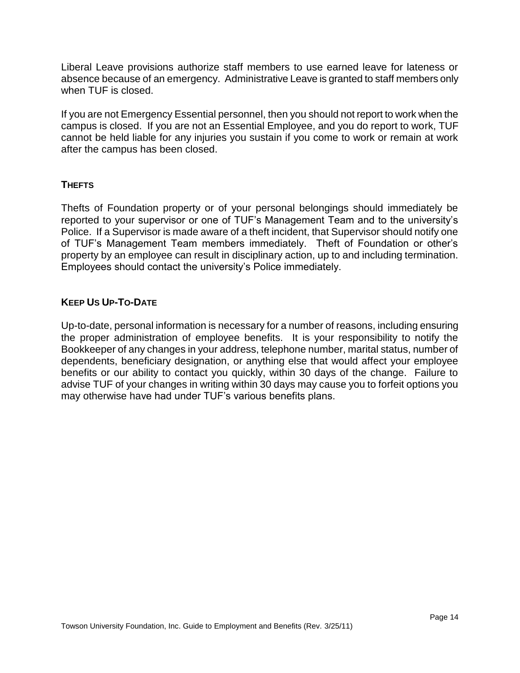Liberal Leave provisions authorize staff members to use earned leave for lateness or absence because of an emergency. Administrative Leave is granted to staff members only when TUF is closed.

If you are not Emergency Essential personnel, then you should not report to work when the campus is closed. If you are not an Essential Employee, and you do report to work, TUF cannot be held liable for any injuries you sustain if you come to work or remain at work after the campus has been closed.

# <span id="page-13-0"></span>**THEFTS**

Thefts of Foundation property or of your personal belongings should immediately be reported to your supervisor or one of TUF's Management Team and to the university's Police. If a Supervisor is made aware of a theft incident, that Supervisor should notify one of TUF's Management Team members immediately. Theft of Foundation or other's property by an employee can result in disciplinary action, up to and including termination. Employees should contact the university's Police immediately.

# <span id="page-13-1"></span>**KEEP US UP-TO-DATE**

Up-to-date, personal information is necessary for a number of reasons, including ensuring the proper administration of employee benefits. It is your responsibility to notify the Bookkeeper of any changes in your address, telephone number, marital status, number of dependents, beneficiary designation, or anything else that would affect your employee benefits or our ability to contact you quickly, within 30 days of the change. Failure to advise TUF of your changes in writing within 30 days may cause you to forfeit options you may otherwise have had under TUF's various benefits plans.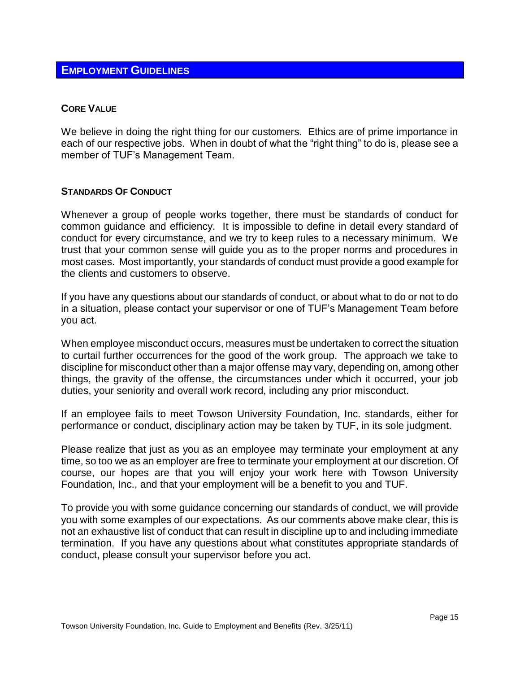# <span id="page-14-0"></span>**EMPLOYMENT GUIDELINES**

# <span id="page-14-1"></span>**CORE VALUE**

We believe in doing the right thing for our customers. Ethics are of prime importance in each of our respective jobs. When in doubt of what the "right thing" to do is, please see a member of TUF's Management Team.

# <span id="page-14-2"></span>**STANDARDS OF CONDUCT**

Whenever a group of people works together, there must be standards of conduct for common guidance and efficiency. It is impossible to define in detail every standard of conduct for every circumstance, and we try to keep rules to a necessary minimum. We trust that your common sense will guide you as to the proper norms and procedures in most cases. Most importantly, your standards of conduct must provide a good example for the clients and customers to observe.

If you have any questions about our standards of conduct, or about what to do or not to do in a situation, please contact your supervisor or one of TUF's Management Team before you act.

When employee misconduct occurs, measures must be undertaken to correct the situation to curtail further occurrences for the good of the work group. The approach we take to discipline for misconduct other than a major offense may vary, depending on, among other things, the gravity of the offense, the circumstances under which it occurred, your job duties, your seniority and overall work record, including any prior misconduct.

If an employee fails to meet Towson University Foundation, Inc. standards, either for performance or conduct, disciplinary action may be taken by TUF, in its sole judgment.

Please realize that just as you as an employee may terminate your employment at any time, so too we as an employer are free to terminate your employment at our discretion. Of course, our hopes are that you will enjoy your work here with Towson University Foundation, Inc., and that your employment will be a benefit to you and TUF.

To provide you with some guidance concerning our standards of conduct, we will provide you with some examples of our expectations. As our comments above make clear, this is not an exhaustive list of conduct that can result in discipline up to and including immediate termination. If you have any questions about what constitutes appropriate standards of conduct, please consult your supervisor before you act.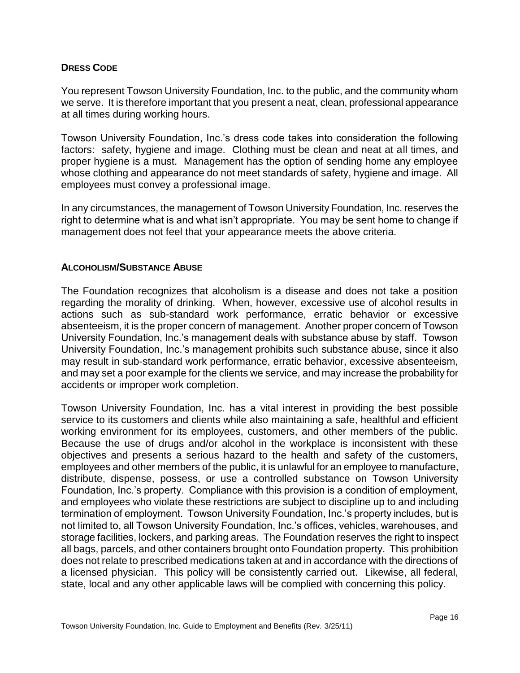# <span id="page-15-0"></span>**DRESS CODE**

You represent Towson University Foundation, Inc. to the public, and the community whom we serve. It is therefore important that you present a neat, clean, professional appearance at all times during working hours.

Towson University Foundation, Inc.'s dress code takes into consideration the following factors: safety, hygiene and image. Clothing must be clean and neat at all times, and proper hygiene is a must. Management has the option of sending home any employee whose clothing and appearance do not meet standards of safety, hygiene and image. All employees must convey a professional image.

In any circumstances, the management of Towson University Foundation, Inc. reserves the right to determine what is and what isn't appropriate. You may be sent home to change if management does not feel that your appearance meets the above criteria.

# <span id="page-15-1"></span>**ALCOHOLISM/SUBSTANCE ABUSE**

The Foundation recognizes that alcoholism is a disease and does not take a position regarding the morality of drinking. When, however, excessive use of alcohol results in actions such as sub-standard work performance, erratic behavior or excessive absenteeism, it is the proper concern of management. Another proper concern of Towson University Foundation, Inc.'s management deals with substance abuse by staff. Towson University Foundation, Inc.'s management prohibits such substance abuse, since it also may result in sub-standard work performance, erratic behavior, excessive absenteeism, and may set a poor example for the clients we service, and may increase the probability for accidents or improper work completion.

Towson University Foundation, Inc. has a vital interest in providing the best possible service to its customers and clients while also maintaining a safe, healthful and efficient working environment for its employees, customers, and other members of the public. Because the use of drugs and/or alcohol in the workplace is inconsistent with these objectives and presents a serious hazard to the health and safety of the customers, employees and other members of the public, it is unlawful for an employee to manufacture, distribute, dispense, possess, or use a controlled substance on Towson University Foundation, Inc.'s property. Compliance with this provision is a condition of employment, and employees who violate these restrictions are subject to discipline up to and including termination of employment. Towson University Foundation, Inc.'s property includes, but is not limited to, all Towson University Foundation, Inc.'s offices, vehicles, warehouses, and storage facilities, lockers, and parking areas. The Foundation reserves the right to inspect all bags, parcels, and other containers brought onto Foundation property. This prohibition does not relate to prescribed medications taken at and in accordance with the directions of a licensed physician. This policy will be consistently carried out. Likewise, all federal, state, local and any other applicable laws will be complied with concerning this policy.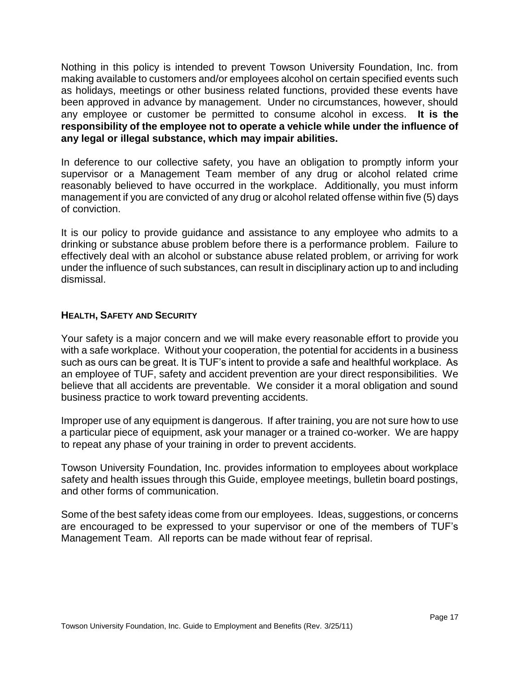Nothing in this policy is intended to prevent Towson University Foundation, Inc. from making available to customers and/or employees alcohol on certain specified events such as holidays, meetings or other business related functions, provided these events have been approved in advance by management. Under no circumstances, however, should any employee or customer be permitted to consume alcohol in excess. **It is the responsibility of the employee not to operate a vehicle while under the influence of any legal or illegal substance, which may impair abilities.**

In deference to our collective safety, you have an obligation to promptly inform your supervisor or a Management Team member of any drug or alcohol related crime reasonably believed to have occurred in the workplace. Additionally, you must inform management if you are convicted of any drug or alcohol related offense within five (5) days of conviction.

It is our policy to provide guidance and assistance to any employee who admits to a drinking or substance abuse problem before there is a performance problem. Failure to effectively deal with an alcohol or substance abuse related problem, or arriving for work under the influence of such substances, can result in disciplinary action up to and including dismissal.

# <span id="page-16-0"></span>**HEALTH, SAFETY AND SECURITY**

Your safety is a major concern and we will make every reasonable effort to provide you with a safe workplace. Without your cooperation, the potential for accidents in a business such as ours can be great. It is TUF's intent to provide a safe and healthful workplace. As an employee of TUF, safety and accident prevention are your direct responsibilities. We believe that all accidents are preventable. We consider it a moral obligation and sound business practice to work toward preventing accidents.

Improper use of any equipment is dangerous. If after training, you are not sure how to use a particular piece of equipment, ask your manager or a trained co-worker. We are happy to repeat any phase of your training in order to prevent accidents.

Towson University Foundation, Inc. provides information to employees about workplace safety and health issues through this Guide, employee meetings, bulletin board postings, and other forms of communication.

Some of the best safety ideas come from our employees. Ideas, suggestions, or concerns are encouraged to be expressed to your supervisor or one of the members of TUF's Management Team. All reports can be made without fear of reprisal.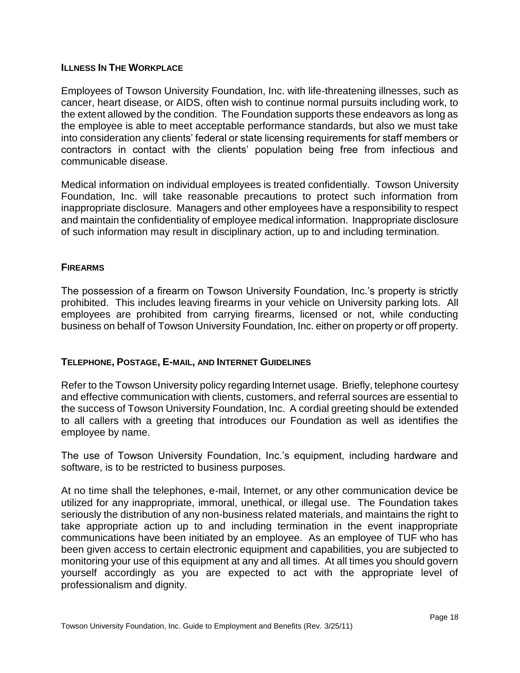# <span id="page-17-0"></span>**ILLNESS IN THE WORKPLACE**

Employees of Towson University Foundation, Inc. with life-threatening illnesses, such as cancer, heart disease, or AIDS, often wish to continue normal pursuits including work, to the extent allowed by the condition. The Foundation supports these endeavors as long as the employee is able to meet acceptable performance standards, but also we must take into consideration any clients' federal or state licensing requirements for staff members or contractors in contact with the clients' population being free from infectious and communicable disease.

Medical information on individual employees is treated confidentially. Towson University Foundation, Inc. will take reasonable precautions to protect such information from inappropriate disclosure. Managers and other employees have a responsibility to respect and maintain the confidentiality of employee medical information. Inappropriate disclosure of such information may result in disciplinary action, up to and including termination.

# <span id="page-17-1"></span>**FIREARMS**

The possession of a firearm on Towson University Foundation, Inc.'s property is strictly prohibited. This includes leaving firearms in your vehicle on University parking lots. All employees are prohibited from carrying firearms, licensed or not, while conducting business on behalf of Towson University Foundation, Inc. either on property or off property.

# <span id="page-17-2"></span>**TELEPHONE, POSTAGE, E-MAIL, AND INTERNET GUIDELINES**

Refer to the Towson University policy regarding Internet usage. Briefly, telephone courtesy and effective communication with clients, customers, and referral sources are essential to the success of Towson University Foundation, Inc. A cordial greeting should be extended to all callers with a greeting that introduces our Foundation as well as identifies the employee by name.

The use of Towson University Foundation, Inc.'s equipment, including hardware and software, is to be restricted to business purposes.

At no time shall the telephones, e-mail, Internet, or any other communication device be utilized for any inappropriate, immoral, unethical, or illegal use. The Foundation takes seriously the distribution of any non-business related materials, and maintains the right to take appropriate action up to and including termination in the event inappropriate communications have been initiated by an employee. As an employee of TUF who has been given access to certain electronic equipment and capabilities, you are subjected to monitoring your use of this equipment at any and all times. At all times you should govern yourself accordingly as you are expected to act with the appropriate level of professionalism and dignity.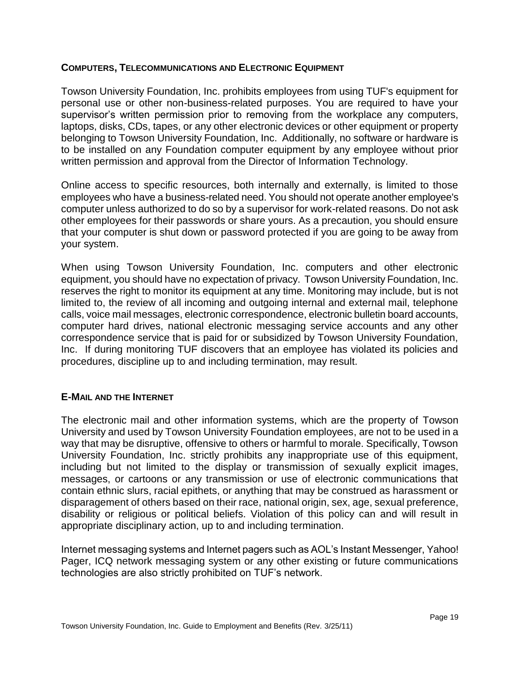# <span id="page-18-0"></span>**COMPUTERS, TELECOMMUNICATIONS AND ELECTRONIC EQUIPMENT**

Towson University Foundation, Inc. prohibits employees from using TUF's equipment for personal use or other non-business-related purposes. You are required to have your supervisor's written permission prior to removing from the workplace any computers, laptops, disks, CDs, tapes, or any other electronic devices or other equipment or property belonging to Towson University Foundation, Inc. Additionally, no software or hardware is to be installed on any Foundation computer equipment by any employee without prior written permission and approval from the Director of Information Technology.

Online access to specific resources, both internally and externally, is limited to those employees who have a business-related need. You should not operate another employee's computer unless authorized to do so by a supervisor for work-related reasons. Do not ask other employees for their passwords or share yours. As a precaution, you should ensure that your computer is shut down or password protected if you are going to be away from your system.

When using Towson University Foundation, Inc. computers and other electronic equipment, you should have no expectation of privacy. Towson University Foundation, Inc. reserves the right to monitor its equipment at any time. Monitoring may include, but is not limited to, the review of all incoming and outgoing internal and external mail, telephone calls, voice mail messages, electronic correspondence, electronic bulletin board accounts, computer hard drives, national electronic messaging service accounts and any other correspondence service that is paid for or subsidized by Towson University Foundation, Inc. If during monitoring TUF discovers that an employee has violated its policies and procedures, discipline up to and including termination, may result.

# <span id="page-18-1"></span>**E-MAIL AND THE INTERNET**

The electronic mail and other information systems, which are the property of Towson University and used by Towson University Foundation employees, are not to be used in a way that may be disruptive, offensive to others or harmful to morale. Specifically, Towson University Foundation, Inc. strictly prohibits any inappropriate use of this equipment, including but not limited to the display or transmission of sexually explicit images, messages, or cartoons or any transmission or use of electronic communications that contain ethnic slurs, racial epithets, or anything that may be construed as harassment or disparagement of others based on their race, national origin, sex, age, sexual preference, disability or religious or political beliefs. Violation of this policy can and will result in appropriate disciplinary action, up to and including termination.

Internet messaging systems and Internet pagers such as AOL's Instant Messenger, Yahoo! Pager, ICQ network messaging system or any other existing or future communications technologies are also strictly prohibited on TUF's network.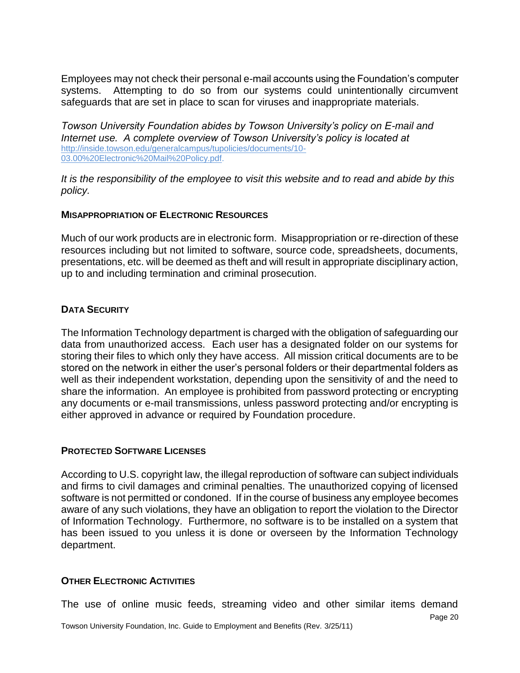Employees may not check their personal e-mail accounts using the Foundation's computer systems. Attempting to do so from our systems could unintentionally circumvent safeguards that are set in place to scan for viruses and inappropriate materials.

*Towson University Foundation abides by Towson University's policy on E-mail and Internet use. A complete overview of Towson University's policy is located at* [http://inside.towson.edu/generalcampus/tupolicies/documents/10-](http://inside.towson.edu/generalcampus/tupolicies/documents/10-03.00%20Electronic%20Mail%20Policy.pdf) [03.00%20Electronic%20Mail%20Policy.pdf.](http://inside.towson.edu/generalcampus/tupolicies/documents/10-03.00%20Electronic%20Mail%20Policy.pdf)

*It is the responsibility of the employee to visit this website and to read and abide by this policy.* 

# <span id="page-19-0"></span>**MISAPPROPRIATION OF ELECTRONIC RESOURCES**

Much of our work products are in electronic form. Misappropriation or re-direction of these resources including but not limited to software, source code, spreadsheets, documents, presentations, etc. will be deemed as theft and will result in appropriate disciplinary action, up to and including termination and criminal prosecution.

# <span id="page-19-1"></span>**DATA SECURITY**

The Information Technology department is charged with the obligation of safeguarding our data from unauthorized access. Each user has a designated folder on our systems for storing their files to which only they have access. All mission critical documents are to be stored on the network in either the user's personal folders or their departmental folders as well as their independent workstation, depending upon the sensitivity of and the need to share the information. An employee is prohibited from password protecting or encrypting any documents or e-mail transmissions, unless password protecting and/or encrypting is either approved in advance or required by Foundation procedure.

# <span id="page-19-2"></span>**PROTECTED SOFTWARE LICENSES**

According to U.S. copyright law, the illegal reproduction of software can subject individuals and firms to civil damages and criminal penalties. The unauthorized copying of licensed software is not permitted or condoned. If in the course of business any employee becomes aware of any such violations, they have an obligation to report the violation to the Director of Information Technology. Furthermore, no software is to be installed on a system that has been issued to you unless it is done or overseen by the Information Technology department.

# <span id="page-19-3"></span>**OTHER ELECTRONIC ACTIVITIES**

The use of online music feeds, streaming video and other similar items demand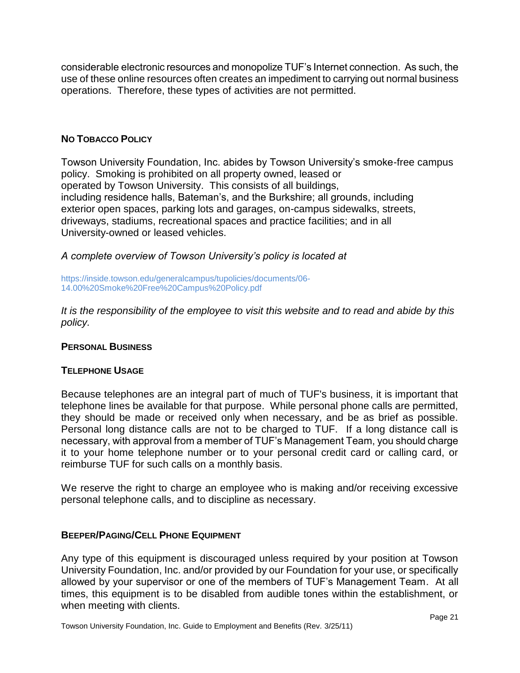considerable electronic resources and monopolize TUF's Internet connection. As such, the use of these online resources often creates an impediment to carrying out normal business operations. Therefore, these types of activities are not permitted.

# <span id="page-20-0"></span>**NO TOBACCO POLICY**

Towson University Foundation, Inc. abides by Towson University's smoke-free campus policy. Smoking is prohibited on all property owned, leased or operated by Towson University. This consists of all buildings, including residence halls, Bateman's, and the Burkshire; all grounds, including exterior open spaces, parking lots and garages, on-campus sidewalks, streets, driveways, stadiums, recreational spaces and practice facilities; and in all University-owned or leased vehicles.

*A complete overview of Towson University's policy is located at*

https://inside.towson.edu/generalcampus/tupolicies/documents/06- 14.00%20Smoke%20Free%20Campus%20Policy.pdf

*It is the responsibility of the employee to visit this website and to read and abide by this policy.* 

# <span id="page-20-1"></span>**PERSONAL BUSINESS**

# <span id="page-20-2"></span>**TELEPHONE USAGE**

Because telephones are an integral part of much of TUF's business, it is important that telephone lines be available for that purpose. While personal phone calls are permitted, they should be made or received only when necessary, and be as brief as possible. Personal long distance calls are not to be charged to TUF. If a long distance call is necessary, with approval from a member of TUF's Management Team, you should charge it to your home telephone number or to your personal credit card or calling card, or reimburse TUF for such calls on a monthly basis.

We reserve the right to charge an employee who is making and/or receiving excessive personal telephone calls, and to discipline as necessary.

# <span id="page-20-3"></span>**BEEPER/PAGING/CELL PHONE EQUIPMENT**

Any type of this equipment is discouraged unless required by your position at Towson University Foundation, Inc. and/or provided by our Foundation for your use, or specifically allowed by your supervisor or one of the members of TUF's Management Team. At all times, this equipment is to be disabled from audible tones within the establishment, or when meeting with clients.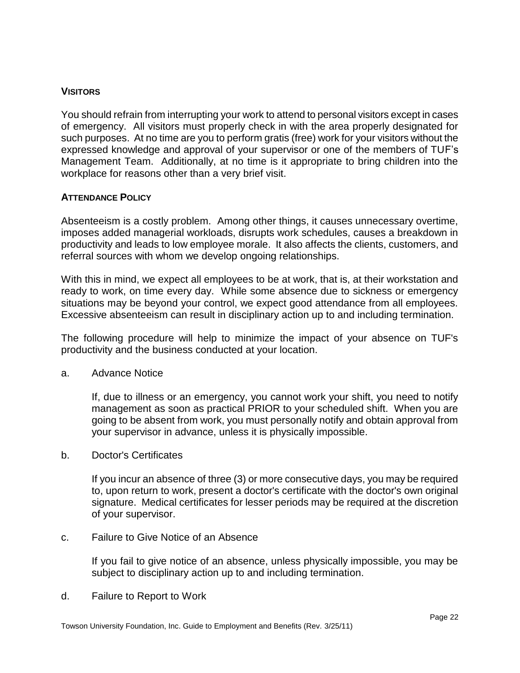# <span id="page-21-0"></span>**VISITORS**

You should refrain from interrupting your work to attend to personal visitors except in cases of emergency. All visitors must properly check in with the area properly designated for such purposes. At no time are you to perform gratis (free) work for your visitors without the expressed knowledge and approval of your supervisor or one of the members of TUF's Management Team. Additionally, at no time is it appropriate to bring children into the workplace for reasons other than a very brief visit.

# <span id="page-21-1"></span>**ATTENDANCE POLICY**

Absenteeism is a costly problem. Among other things, it causes unnecessary overtime, imposes added managerial workloads, disrupts work schedules, causes a breakdown in productivity and leads to low employee morale. It also affects the clients, customers, and referral sources with whom we develop ongoing relationships.

With this in mind, we expect all employees to be at work, that is, at their workstation and ready to work, on time every day. While some absence due to sickness or emergency situations may be beyond your control, we expect good attendance from all employees. Excessive absenteeism can result in disciplinary action up to and including termination.

The following procedure will help to minimize the impact of your absence on TUF's productivity and the business conducted at your location.

a. Advance Notice

If, due to illness or an emergency, you cannot work your shift, you need to notify management as soon as practical PRIOR to your scheduled shift. When you are going to be absent from work, you must personally notify and obtain approval from your supervisor in advance, unless it is physically impossible.

b. Doctor's Certificates

If you incur an absence of three (3) or more consecutive days, you may be required to, upon return to work, present a doctor's certificate with the doctor's own original signature. Medical certificates for lesser periods may be required at the discretion of your supervisor.

c. Failure to Give Notice of an Absence

If you fail to give notice of an absence, unless physically impossible, you may be subject to disciplinary action up to and including termination.

d. Failure to Report to Work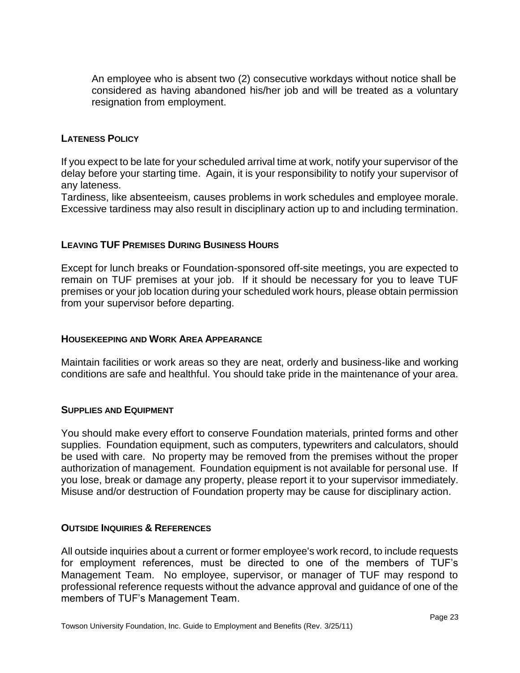An employee who is absent two (2) consecutive workdays without notice shall be considered as having abandoned his/her job and will be treated as a voluntary resignation from employment.

# <span id="page-22-0"></span>**LATENESS POLICY**

If you expect to be late for your scheduled arrival time at work, notify your supervisor of the delay before your starting time. Again, it is your responsibility to notify your supervisor of any lateness.

Tardiness, like absenteeism, causes problems in work schedules and employee morale. Excessive tardiness may also result in disciplinary action up to and including termination.

# <span id="page-22-1"></span>**LEAVING TUF PREMISES DURING BUSINESS HOURS**

Except for lunch breaks or Foundation-sponsored off-site meetings, you are expected to remain on TUF premises at your job. If it should be necessary for you to leave TUF premises or your job location during your scheduled work hours, please obtain permission from your supervisor before departing.

# <span id="page-22-2"></span>**HOUSEKEEPING AND WORK AREA APPEARANCE**

Maintain facilities or work areas so they are neat, orderly and business-like and working conditions are safe and healthful. You should take pride in the maintenance of your area.

# <span id="page-22-3"></span>**SUPPLIES AND EQUIPMENT**

You should make every effort to conserve Foundation materials, printed forms and other supplies. Foundation equipment, such as computers, typewriters and calculators, should be used with care. No property may be removed from the premises without the proper authorization of management. Foundation equipment is not available for personal use. If you lose, break or damage any property, please report it to your supervisor immediately. Misuse and/or destruction of Foundation property may be cause for disciplinary action.

# <span id="page-22-4"></span>**OUTSIDE INQUIRIES & REFERENCES**

All outside inquiries about a current or former employee's work record, to include requests for employment references, must be directed to one of the members of TUF's Management Team. No employee, supervisor, or manager of TUF may respond to professional reference requests without the advance approval and guidance of one of the members of TUF's Management Team.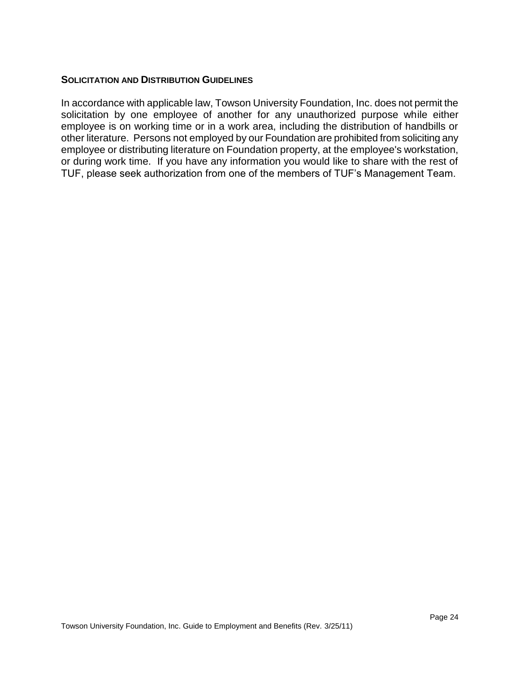# <span id="page-23-0"></span>**SOLICITATION AND DISTRIBUTION GUIDELINES**

In accordance with applicable law, Towson University Foundation, Inc. does not permit the solicitation by one employee of another for any unauthorized purpose while either employee is on working time or in a work area, including the distribution of handbills or other literature. Persons not employed by our Foundation are prohibited from soliciting any employee or distributing literature on Foundation property, at the employee's workstation, or during work time. If you have any information you would like to share with the rest of TUF, please seek authorization from one of the members of TUF's Management Team.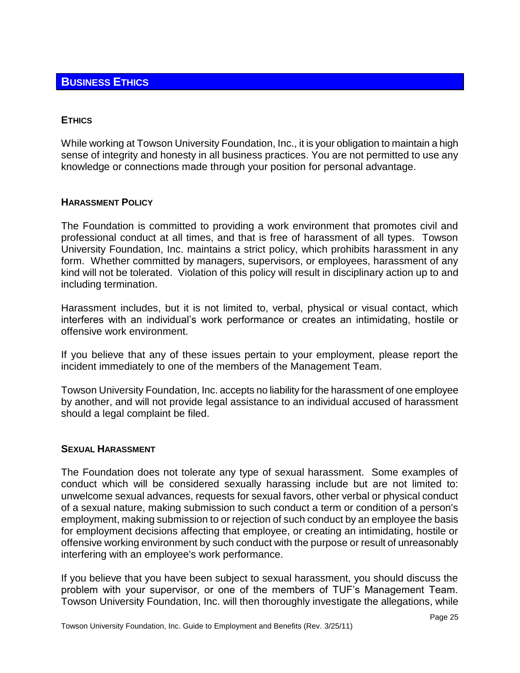# <span id="page-24-1"></span><span id="page-24-0"></span>**ETHICS**

While working at Towson University Foundation, Inc., it is your obligation to maintain a high sense of integrity and honesty in all business practices. You are not permitted to use any knowledge or connections made through your position for personal advantage.

# <span id="page-24-2"></span>**HARASSMENT POLICY**

The Foundation is committed to providing a work environment that promotes civil and professional conduct at all times, and that is free of harassment of all types. Towson University Foundation, Inc. maintains a strict policy, which prohibits harassment in any form. Whether committed by managers, supervisors, or employees, harassment of any kind will not be tolerated. Violation of this policy will result in disciplinary action up to and including termination.

Harassment includes, but it is not limited to, verbal, physical or visual contact, which interferes with an individual's work performance or creates an intimidating, hostile or offensive work environment.

If you believe that any of these issues pertain to your employment, please report the incident immediately to one of the members of the Management Team.

Towson University Foundation, Inc. accepts no liability for the harassment of one employee by another, and will not provide legal assistance to an individual accused of harassment should a legal complaint be filed.

# <span id="page-24-3"></span>**SEXUAL HARASSMENT**

The Foundation does not tolerate any type of sexual harassment. Some examples of conduct which will be considered sexually harassing include but are not limited to: unwelcome sexual advances, requests for sexual favors, other verbal or physical conduct of a sexual nature, making submission to such conduct a term or condition of a person's employment, making submission to or rejection of such conduct by an employee the basis for employment decisions affecting that employee, or creating an intimidating, hostile or offensive working environment by such conduct with the purpose or result of unreasonably interfering with an employee's work performance.

If you believe that you have been subject to sexual harassment, you should discuss the problem with your supervisor, or one of the members of TUF's Management Team. Towson University Foundation, Inc. will then thoroughly investigate the allegations, while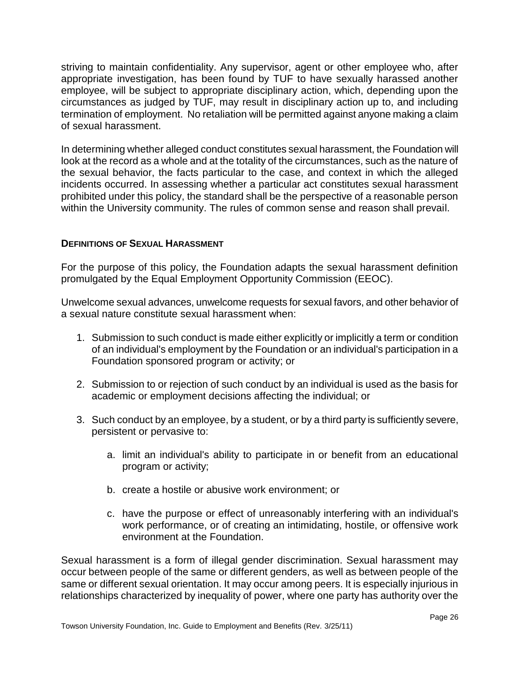striving to maintain confidentiality. Any supervisor, agent or other employee who, after appropriate investigation, has been found by TUF to have sexually harassed another employee, will be subject to appropriate disciplinary action, which, depending upon the circumstances as judged by TUF, may result in disciplinary action up to, and including termination of employment. No retaliation will be permitted against anyone making a claim of sexual harassment.

In determining whether alleged conduct constitutes sexual harassment, the Foundation will look at the record as a whole and at the totality of the circumstances, such as the nature of the sexual behavior, the facts particular to the case, and context in which the alleged incidents occurred. In assessing whether a particular act constitutes sexual harassment prohibited under this policy, the standard shall be the perspective of a reasonable person within the University community. The rules of common sense and reason shall prevail.

# <span id="page-25-0"></span>**DEFINITIONS OF SEXUAL HARASSMENT**

For the purpose of this policy, the Foundation adapts the sexual harassment definition promulgated by the Equal Employment Opportunity Commission (EEOC).

Unwelcome sexual advances, unwelcome requests for sexual favors, and other behavior of a sexual nature constitute sexual harassment when:

- 1. Submission to such conduct is made either explicitly or implicitly a term or condition of an individual's employment by the Foundation or an individual's participation in a Foundation sponsored program or activity; or
- 2. Submission to or rejection of such conduct by an individual is used as the basis for academic or employment decisions affecting the individual; or
- 3. Such conduct by an employee, by a student, or by a third party is sufficiently severe, persistent or pervasive to:
	- a. limit an individual's ability to participate in or benefit from an educational program or activity;
	- b. create a hostile or abusive work environment; or
	- c. have the purpose or effect of unreasonably interfering with an individual's work performance, or of creating an intimidating, hostile, or offensive work environment at the Foundation.

Sexual harassment is a form of illegal gender discrimination. Sexual harassment may occur between people of the same or different genders, as well as between people of the same or different sexual orientation. It may occur among peers. It is especially injurious in relationships characterized by inequality of power, where one party has authority over the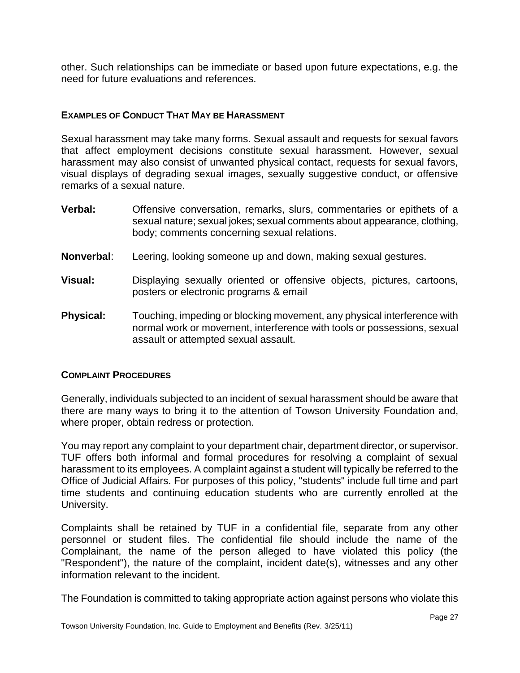other. Such relationships can be immediate or based upon future expectations, e.g. the need for future evaluations and references.

# <span id="page-26-0"></span>**EXAMPLES OF CONDUCT THAT MAY BE HARASSMENT**

Sexual harassment may take many forms. Sexual assault and requests for sexual favors that affect employment decisions constitute sexual harassment. However, sexual harassment may also consist of unwanted physical contact, requests for sexual favors, visual displays of degrading sexual images, sexually suggestive conduct, or offensive remarks of a sexual nature.

- **Verbal:** Offensive conversation, remarks, slurs, commentaries or epithets of a sexual nature; sexual jokes; sexual comments about appearance, clothing, body; comments concerning sexual relations.
- **Nonverbal**: Leering, looking someone up and down, making sexual gestures.
- **Visual:** Displaying sexually oriented or offensive objects, pictures, cartoons, posters or electronic programs & email
- **Physical:** Touching, impeding or blocking movement, any physical interference with normal work or movement, interference with tools or possessions, sexual assault or attempted sexual assault.

# <span id="page-26-1"></span>**COMPLAINT PROCEDURES**

Generally, individuals subjected to an incident of sexual harassment should be aware that there are many ways to bring it to the attention of Towson University Foundation and, where proper, obtain redress or protection.

You may report any complaint to your department chair, department director, or supervisor. TUF offers both informal and formal procedures for resolving a complaint of sexual harassment to its employees. A complaint against a student will typically be referred to the Office of Judicial Affairs. For purposes of this policy, "students" include full time and part time students and continuing education students who are currently enrolled at the University.

Complaints shall be retained by TUF in a confidential file, separate from any other personnel or student files. The confidential file should include the name of the Complainant, the name of the person alleged to have violated this policy (the "Respondent"), the nature of the complaint, incident date(s), witnesses and any other information relevant to the incident.

The Foundation is committed to taking appropriate action against persons who violate this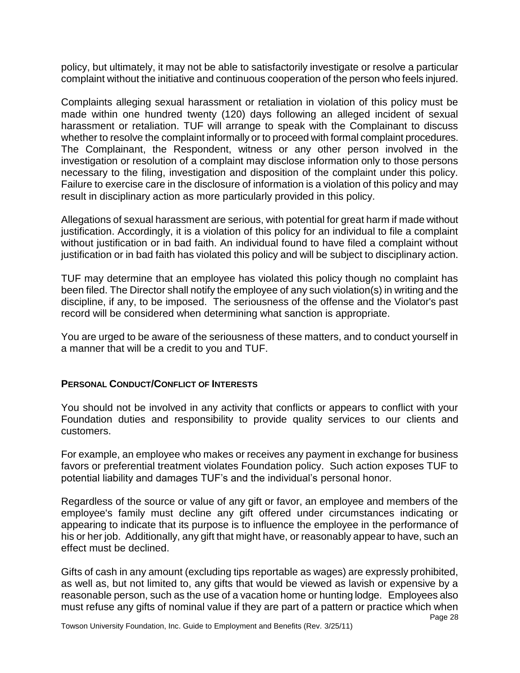policy, but ultimately, it may not be able to satisfactorily investigate or resolve a particular complaint without the initiative and continuous cooperation of the person who feels injured.

Complaints alleging sexual harassment or retaliation in violation of this policy must be made within one hundred twenty (120) days following an alleged incident of sexual harassment or retaliation. TUF will arrange to speak with the Complainant to discuss whether to resolve the complaint informally or to proceed with formal complaint procedures. The Complainant, the Respondent, witness or any other person involved in the investigation or resolution of a complaint may disclose information only to those persons necessary to the filing, investigation and disposition of the complaint under this policy. Failure to exercise care in the disclosure of information is a violation of this policy and may result in disciplinary action as more particularly provided in this policy.

Allegations of sexual harassment are serious, with potential for great harm if made without justification. Accordingly, it is a violation of this policy for an individual to file a complaint without justification or in bad faith. An individual found to have filed a complaint without justification or in bad faith has violated this policy and will be subject to disciplinary action.

TUF may determine that an employee has violated this policy though no complaint has been filed. The Director shall notify the employee of any such violation(s) in writing and the discipline, if any, to be imposed. The seriousness of the offense and the Violator's past record will be considered when determining what sanction is appropriate.

You are urged to be aware of the seriousness of these matters, and to conduct yourself in a manner that will be a credit to you and TUF.

# <span id="page-27-0"></span>**PERSONAL CONDUCT/CONFLICT OF INTERESTS**

You should not be involved in any activity that conflicts or appears to conflict with your Foundation duties and responsibility to provide quality services to our clients and customers.

For example, an employee who makes or receives any payment in exchange for business favors or preferential treatment violates Foundation policy. Such action exposes TUF to potential liability and damages TUF's and the individual's personal honor.

Regardless of the source or value of any gift or favor, an employee and members of the employee's family must decline any gift offered under circumstances indicating or appearing to indicate that its purpose is to influence the employee in the performance of his or her job. Additionally, any gift that might have, or reasonably appear to have, such an effect must be declined.

Gifts of cash in any amount (excluding tips reportable as wages) are expressly prohibited, as well as, but not limited to, any gifts that would be viewed as lavish or expensive by a reasonable person, such as the use of a vacation home or hunting lodge. Employees also must refuse any gifts of nominal value if they are part of a pattern or practice which when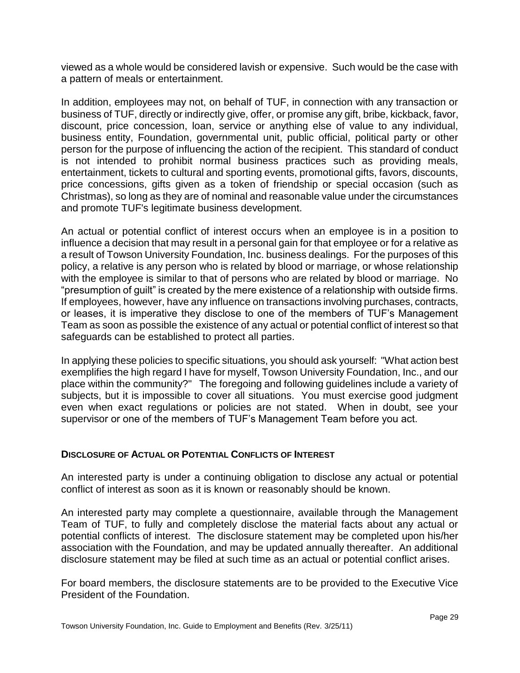viewed as a whole would be considered lavish or expensive. Such would be the case with a pattern of meals or entertainment.

In addition, employees may not, on behalf of TUF, in connection with any transaction or business of TUF, directly or indirectly give, offer, or promise any gift, bribe, kickback, favor, discount, price concession, loan, service or anything else of value to any individual, business entity, Foundation, governmental unit, public official, political party or other person for the purpose of influencing the action of the recipient. This standard of conduct is not intended to prohibit normal business practices such as providing meals, entertainment, tickets to cultural and sporting events, promotional gifts, favors, discounts, price concessions, gifts given as a token of friendship or special occasion (such as Christmas), so long as they are of nominal and reasonable value under the circumstances and promote TUF's legitimate business development.

An actual or potential conflict of interest occurs when an employee is in a position to influence a decision that may result in a personal gain for that employee or for a relative as a result of Towson University Foundation, Inc. business dealings. For the purposes of this policy, a relative is any person who is related by blood or marriage, or whose relationship with the employee is similar to that of persons who are related by blood or marriage. No "presumption of guilt" is created by the mere existence of a relationship with outside firms. If employees, however, have any influence on transactions involving purchases, contracts, or leases, it is imperative they disclose to one of the members of TUF's Management Team as soon as possible the existence of any actual or potential conflict of interest so that safeguards can be established to protect all parties.

In applying these policies to specific situations, you should ask yourself: "What action best exemplifies the high regard I have for myself, Towson University Foundation, Inc., and our place within the community?" The foregoing and following guidelines include a variety of subjects, but it is impossible to cover all situations. You must exercise good judgment even when exact regulations or policies are not stated. When in doubt, see your supervisor or one of the members of TUF's Management Team before you act.

# <span id="page-28-0"></span>**DISCLOSURE OF ACTUAL OR POTENTIAL CONFLICTS OF INTEREST**

An interested party is under a continuing obligation to disclose any actual or potential conflict of interest as soon as it is known or reasonably should be known.

An interested party may complete a questionnaire, available through the Management Team of TUF, to fully and completely disclose the material facts about any actual or potential conflicts of interest. The disclosure statement may be completed upon his/her association with the Foundation, and may be updated annually thereafter. An additional disclosure statement may be filed at such time as an actual or potential conflict arises.

For board members, the disclosure statements are to be provided to the Executive Vice President of the Foundation.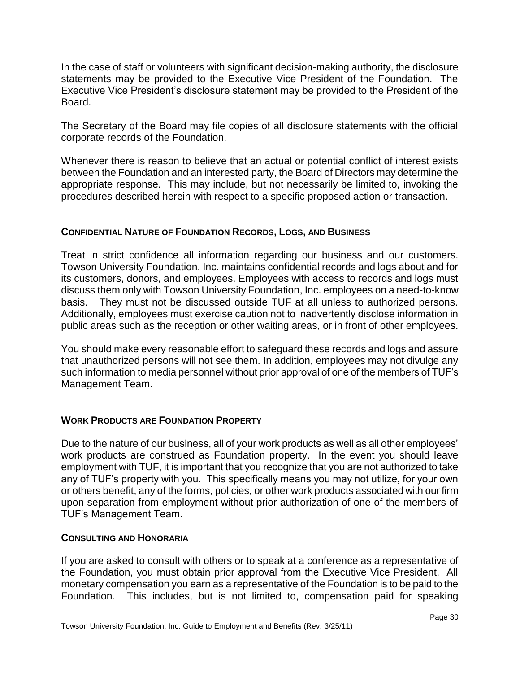In the case of staff or volunteers with significant decision-making authority, the disclosure statements may be provided to the Executive Vice President of the Foundation. The Executive Vice President's disclosure statement may be provided to the President of the Board.

The Secretary of the Board may file copies of all disclosure statements with the official corporate records of the Foundation.

Whenever there is reason to believe that an actual or potential conflict of interest exists between the Foundation and an interested party, the Board of Directors may determine the appropriate response. This may include, but not necessarily be limited to, invoking the procedures described herein with respect to a specific proposed action or transaction.

# <span id="page-29-0"></span>**CONFIDENTIAL NATURE OF FOUNDATION RECORDS, LOGS, AND BUSINESS**

Treat in strict confidence all information regarding our business and our customers. Towson University Foundation, Inc. maintains confidential records and logs about and for its customers, donors, and employees. Employees with access to records and logs must discuss them only with Towson University Foundation, Inc. employees on a need-to-know basis. They must not be discussed outside TUF at all unless to authorized persons. Additionally, employees must exercise caution not to inadvertently disclose information in public areas such as the reception or other waiting areas, or in front of other employees.

You should make every reasonable effort to safeguard these records and logs and assure that unauthorized persons will not see them. In addition, employees may not divulge any such information to media personnel without prior approval of one of the members of TUF's Management Team.

# <span id="page-29-1"></span>**WORK PRODUCTS ARE FOUNDATION PROPERTY**

Due to the nature of our business, all of your work products as well as all other employees' work products are construed as Foundation property. In the event you should leave employment with TUF, it is important that you recognize that you are not authorized to take any of TUF's property with you. This specifically means you may not utilize, for your own or others benefit, any of the forms, policies, or other work products associated with our firm upon separation from employment without prior authorization of one of the members of TUF's Management Team.

# <span id="page-29-2"></span>**CONSULTING AND HONORARIA**

If you are asked to consult with others or to speak at a conference as a representative of the Foundation, you must obtain prior approval from the Executive Vice President. All monetary compensation you earn as a representative of the Foundation is to be paid to the Foundation. This includes, but is not limited to, compensation paid for speaking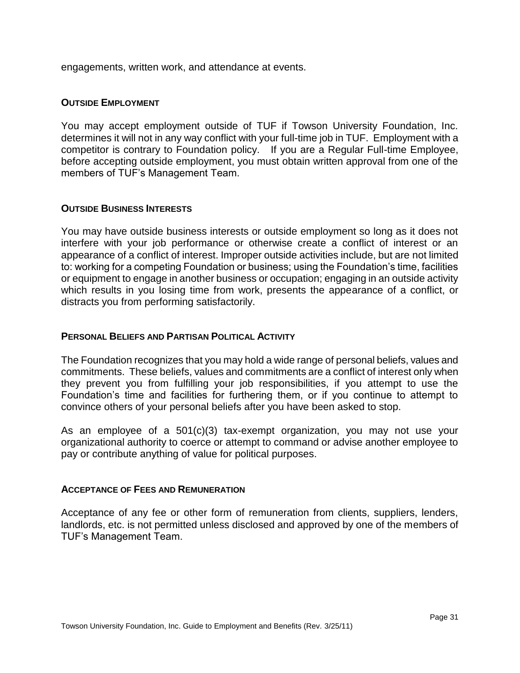engagements, written work, and attendance at events.

### <span id="page-30-0"></span>**OUTSIDE EMPLOYMENT**

You may accept employment outside of TUF if Towson University Foundation, Inc. determines it will not in any way conflict with your full-time job in TUF. Employment with a competitor is contrary to Foundation policy. If you are a Regular Full-time Employee, before accepting outside employment, you must obtain written approval from one of the members of TUF's Management Team.

# <span id="page-30-1"></span>**OUTSIDE BUSINESS INTERESTS**

You may have outside business interests or outside employment so long as it does not interfere with your job performance or otherwise create a conflict of interest or an appearance of a conflict of interest. Improper outside activities include, but are not limited to: working for a competing Foundation or business; using the Foundation's time, facilities or equipment to engage in another business or occupation; engaging in an outside activity which results in you losing time from work, presents the appearance of a conflict, or distracts you from performing satisfactorily.

### <span id="page-30-2"></span>**PERSONAL BELIEFS AND PARTISAN POLITICAL ACTIVITY**

The Foundation recognizes that you may hold a wide range of personal beliefs, values and commitments. These beliefs, values and commitments are a conflict of interest only when they prevent you from fulfilling your job responsibilities, if you attempt to use the Foundation's time and facilities for furthering them, or if you continue to attempt to convince others of your personal beliefs after you have been asked to stop.

As an employee of a 501(c)(3) tax-exempt organization, you may not use your organizational authority to coerce or attempt to command or advise another employee to pay or contribute anything of value for political purposes.

#### <span id="page-30-3"></span>**ACCEPTANCE OF FEES AND REMUNERATION**

Acceptance of any fee or other form of remuneration from clients, suppliers, lenders, landlords, etc. is not permitted unless disclosed and approved by one of the members of TUF's Management Team.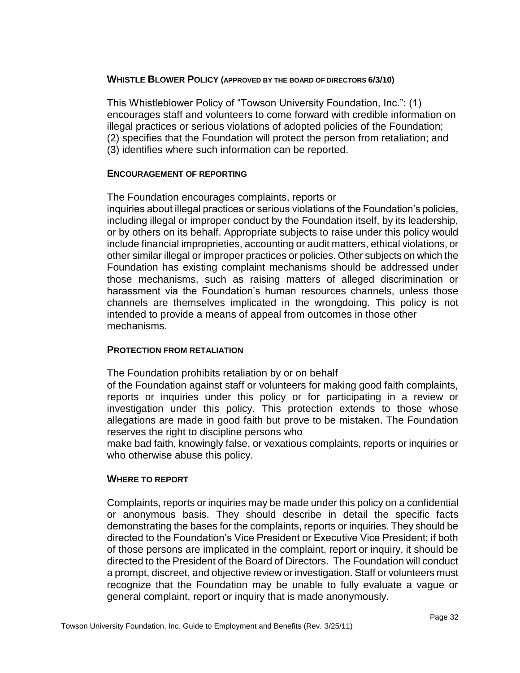# **WHISTLE BLOWER POLICY (APPROVED BY THE BOARD OF DIRECTORS 6/3/10)**

This Whistleblower Policy of "Towson University Foundation, Inc.": (1) encourages staff and volunteers to come forward with credible information on illegal practices or serious violations of adopted policies of the Foundation; (2) specifies that the Foundation will protect the person from retaliation; and (3) identifies where such information can be reported.

# **ENCOURAGEMENT OF REPORTING**

The Foundation encourages complaints, reports or

inquiries about illegal practices or serious violations of the Foundation's policies, including illegal or improper conduct by the Foundation itself, by its leadership, or by others on its behalf. Appropriate subjects to raise under this policy would include financial improprieties, accounting or audit matters, ethical violations, or other similar illegal or improper practices or policies. Other subjects on which the Foundation has existing complaint mechanisms should be addressed under those mechanisms, such as raising matters of alleged discrimination or harassment via the Foundation's human resources channels, unless those channels are themselves implicated in the wrongdoing. This policy is not intended to provide a means of appeal from outcomes in those other mechanisms.

# **PROTECTION FROM RETALIATION**

The Foundation prohibits retaliation by or on behalf

of the Foundation against staff or volunteers for making good faith complaints, reports or inquiries under this policy or for participating in a review or investigation under this policy. This protection extends to those whose allegations are made in good faith but prove to be mistaken. The Foundation reserves the right to discipline persons who

make bad faith, knowingly false, or vexatious complaints, reports or inquiries or who otherwise abuse this policy.

# **WHERE TO REPORT**

Complaints, reports or inquiries may be made under this policy on a confidential or anonymous basis. They should describe in detail the specific facts demonstrating the bases for the complaints, reports or inquiries. They should be directed to the Foundation's Vice President or Executive Vice President; if both of those persons are implicated in the complaint, report or inquiry, it should be directed to the President of the Board of Directors. The Foundation will conduct a prompt, discreet, and objective review or investigation. Staff or volunteers must recognize that the Foundation may be unable to fully evaluate a vague or general complaint, report or inquiry that is made anonymously.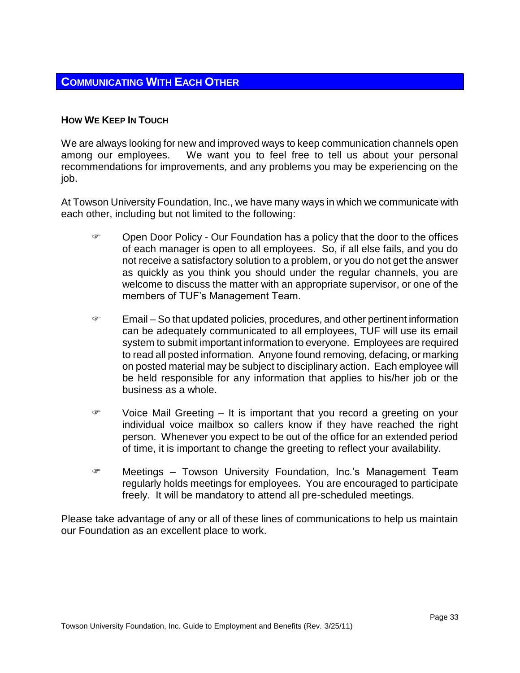# <span id="page-32-0"></span>**COMMUNICATING WITH EACH OTHER**

# <span id="page-32-1"></span>**HOW WE KEEP IN TOUCH**

We are always looking for new and improved ways to keep communication channels open among our employees. We want you to feel free to tell us about your personal recommendations for improvements, and any problems you may be experiencing on the job.

At Towson University Foundation, Inc., we have many ways in which we communicate with each other, including but not limited to the following:

- Open Door Policy Our Foundation has a policy that the door to the offices of each manager is open to all employees. So, if all else fails, and you do not receive a satisfactory solution to a problem, or you do not get the answer as quickly as you think you should under the regular channels, you are welcome to discuss the matter with an appropriate supervisor, or one of the members of TUF's Management Team.
- $\mathcal{F}$  Email So that updated policies, procedures, and other pertinent information can be adequately communicated to all employees, TUF will use its email system to submit important information to everyone. Employees are required to read all posted information. Anyone found removing, defacing, or marking on posted material may be subject to disciplinary action. Each employee will be held responsible for any information that applies to his/her job or the business as a whole.
- Voice Mail Greeting It is important that you record a greeting on your individual voice mailbox so callers know if they have reached the right person. Whenever you expect to be out of the office for an extended period of time, it is important to change the greeting to reflect your availability.
- Meetings Towson University Foundation, Inc.'s Management Team regularly holds meetings for employees. You are encouraged to participate freely. It will be mandatory to attend all pre-scheduled meetings.

Please take advantage of any or all of these lines of communications to help us maintain our Foundation as an excellent place to work.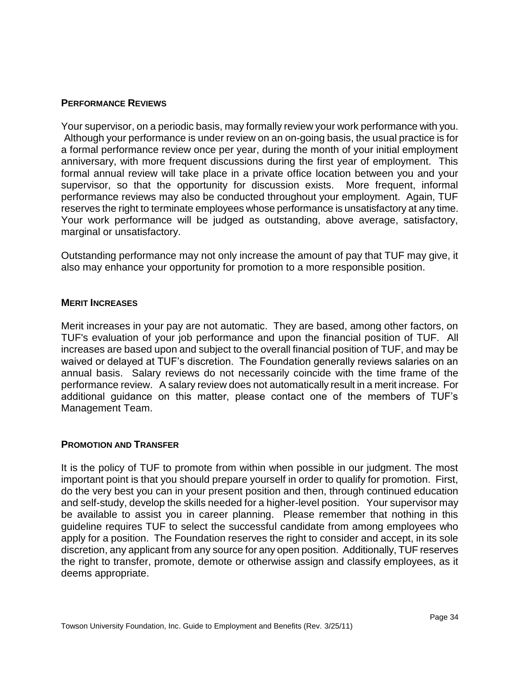### <span id="page-33-0"></span>**PERFORMANCE REVIEWS**

Your supervisor, on a periodic basis, may formally review your work performance with you. Although your performance is under review on an on-going basis, the usual practice is for a formal performance review once per year, during the month of your initial employment anniversary, with more frequent discussions during the first year of employment. This formal annual review will take place in a private office location between you and your supervisor, so that the opportunity for discussion exists. More frequent, informal performance reviews may also be conducted throughout your employment. Again, TUF reserves the right to terminate employees whose performance is unsatisfactory at any time. Your work performance will be judged as outstanding, above average, satisfactory, marginal or unsatisfactory.

Outstanding performance may not only increase the amount of pay that TUF may give, it also may enhance your opportunity for promotion to a more responsible position.

#### <span id="page-33-1"></span>**MERIT INCREASES**

Merit increases in your pay are not automatic. They are based, among other factors, on TUF's evaluation of your job performance and upon the financial position of TUF. All increases are based upon and subject to the overall financial position of TUF, and may be waived or delayed at TUF's discretion. The Foundation generally reviews salaries on an annual basis. Salary reviews do not necessarily coincide with the time frame of the performance review. A salary review does not automatically result in a merit increase. For additional guidance on this matter, please contact one of the members of TUF's Management Team.

# <span id="page-33-2"></span>**PROMOTION AND TRANSFER**

It is the policy of TUF to promote from within when possible in our judgment. The most important point is that you should prepare yourself in order to qualify for promotion. First, do the very best you can in your present position and then, through continued education and self-study, develop the skills needed for a higher-level position. Your supervisor may be available to assist you in career planning. Please remember that nothing in this guideline requires TUF to select the successful candidate from among employees who apply for a position. The Foundation reserves the right to consider and accept, in its sole discretion, any applicant from any source for any open position. Additionally, TUF reserves the right to transfer, promote, demote or otherwise assign and classify employees, as it deems appropriate.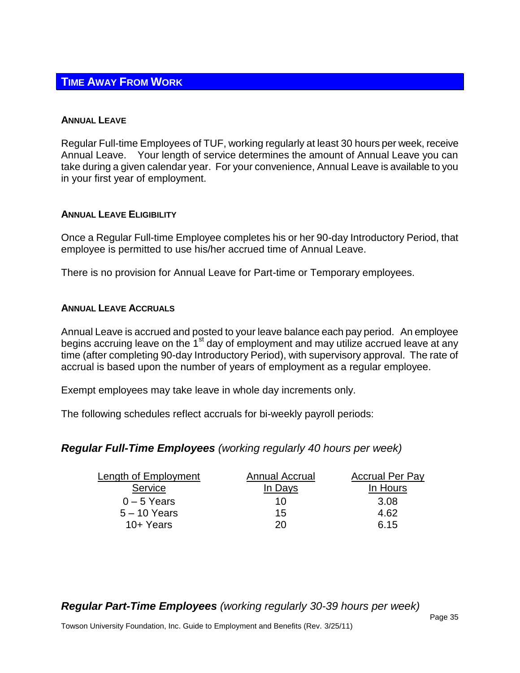# <span id="page-34-0"></span>**TIME AWAY FROM WORK**

#### <span id="page-34-1"></span>**ANNUAL LEAVE**

Regular Full-time Employees of TUF, working regularly at least 30 hours per week, receive Annual Leave. Your length of service determines the amount of Annual Leave you can take during a given calendar year. For your convenience, Annual Leave is available to you in your first year of employment.

# <span id="page-34-2"></span>**ANNUAL LEAVE ELIGIBILITY**

Once a Regular Full-time Employee completes his or her 90-day Introductory Period, that employee is permitted to use his/her accrued time of Annual Leave.

There is no provision for Annual Leave for Part-time or Temporary employees.

# <span id="page-34-3"></span>**ANNUAL LEAVE ACCRUALS**

Annual Leave is accrued and posted to your leave balance each pay period. An employee begins accruing leave on the  $1<sup>st</sup>$  day of employment and may utilize accrued leave at any time (after completing 90-day Introductory Period), with supervisory approval. The rate of accrual is based upon the number of years of employment as a regular employee.

Exempt employees may take leave in whole day increments only.

The following schedules reflect accruals for bi-weekly payroll periods:

# *Regular Full-Time Employees (working regularly 40 hours per week)*

| Length of Employment | Annual Accrual | <b>Accrual Per Pay</b> |
|----------------------|----------------|------------------------|
| Service              | In Days        | In Hours               |
| $0 - 5$ Years        | 10             | 3.08                   |
| $5 - 10$ Years       | 15             | 4.62                   |
| 10+ Years            | 20.            | 6.15                   |

*Regular Part-Time Employees (working regularly 30-39 hours per week)*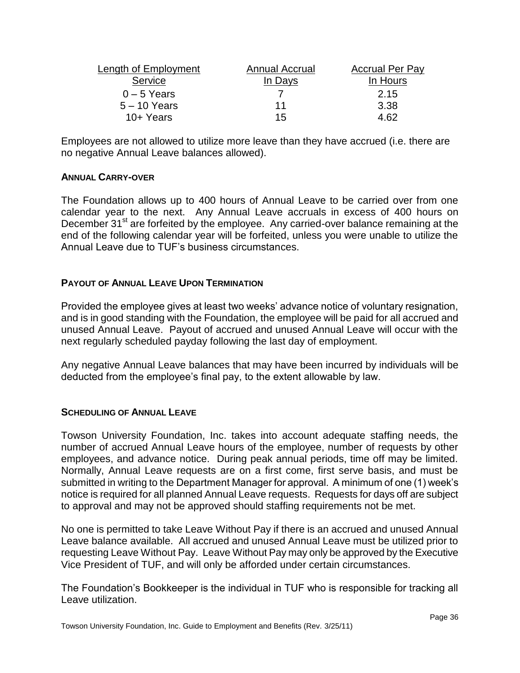| Length of Employment | <b>Annual Accrual</b> | <b>Accrual Per Pay</b> |
|----------------------|-----------------------|------------------------|
| Service              | In Days               | In Hours               |
| $0 - 5$ Years        |                       | 2.15                   |
| $5 - 10$ Years       | 11                    | 3.38                   |
| 10+ Years            | 15                    | 4.62                   |

Employees are not allowed to utilize more leave than they have accrued (i.e. there are no negative Annual Leave balances allowed).

# <span id="page-35-0"></span>**ANNUAL CARRY-OVER**

The Foundation allows up to 400 hours of Annual Leave to be carried over from one calendar year to the next. Any Annual Leave accruals in excess of 400 hours on December  $31<sup>st</sup>$  are forfeited by the employee. Any carried-over balance remaining at the end of the following calendar year will be forfeited, unless you were unable to utilize the Annual Leave due to TUF's business circumstances.

# <span id="page-35-1"></span>**PAYOUT OF ANNUAL LEAVE UPON TERMINATION**

Provided the employee gives at least two weeks' advance notice of voluntary resignation, and is in good standing with the Foundation, the employee will be paid for all accrued and unused Annual Leave. Payout of accrued and unused Annual Leave will occur with the next regularly scheduled payday following the last day of employment.

Any negative Annual Leave balances that may have been incurred by individuals will be deducted from the employee's final pay, to the extent allowable by law.

# <span id="page-35-2"></span>**SCHEDULING OF ANNUAL LEAVE**

Towson University Foundation, Inc. takes into account adequate staffing needs, the number of accrued Annual Leave hours of the employee, number of requests by other employees, and advance notice. During peak annual periods, time off may be limited. Normally, Annual Leave requests are on a first come, first serve basis, and must be submitted in writing to the Department Manager for approval. A minimum of one (1) week's notice is required for all planned Annual Leave requests. Requests for days off are subject to approval and may not be approved should staffing requirements not be met.

No one is permitted to take Leave Without Pay if there is an accrued and unused Annual Leave balance available. All accrued and unused Annual Leave must be utilized prior to requesting Leave Without Pay. Leave Without Pay may only be approved by the Executive Vice President of TUF, and will only be afforded under certain circumstances.

The Foundation's Bookkeeper is the individual in TUF who is responsible for tracking all Leave utilization.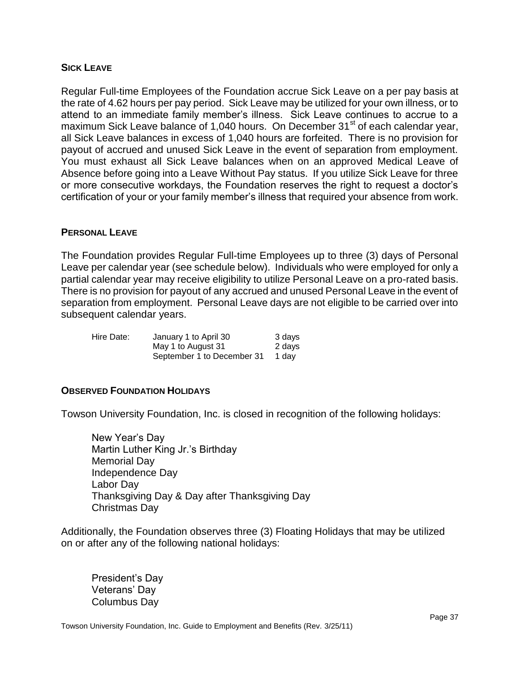### <span id="page-36-0"></span>**SICK LEAVE**

Regular Full-time Employees of the Foundation accrue Sick Leave on a per pay basis at the rate of 4.62 hours per pay period. Sick Leave may be utilized for your own illness, or to attend to an immediate family member's illness. Sick Leave continues to accrue to a maximum Sick Leave balance of 1,040 hours. On December 31<sup>st</sup> of each calendar year, all Sick Leave balances in excess of 1,040 hours are forfeited. There is no provision for payout of accrued and unused Sick Leave in the event of separation from employment. You must exhaust all Sick Leave balances when on an approved Medical Leave of Absence before going into a Leave Without Pay status. If you utilize Sick Leave for three or more consecutive workdays, the Foundation reserves the right to request a doctor's certification of your or your family member's illness that required your absence from work.

#### <span id="page-36-1"></span>**PERSONAL LEAVE**

The Foundation provides Regular Full-time Employees up to three (3) days of Personal Leave per calendar year (see schedule below). Individuals who were employed for only a partial calendar year may receive eligibility to utilize Personal Leave on a pro-rated basis. There is no provision for payout of any accrued and unused Personal Leave in the event of separation from employment. Personal Leave days are not eligible to be carried over into subsequent calendar years.

| Hire Date: | January 1 to April 30      | 3 days |
|------------|----------------------------|--------|
|            | May 1 to August 31         | 2 days |
|            | September 1 to December 31 | 1 dav  |

# <span id="page-36-2"></span>**OBSERVED FOUNDATION HOLIDAYS**

Towson University Foundation, Inc. is closed in recognition of the following holidays:

New Year's Day Martin Luther King Jr.'s Birthday Memorial Day Independence Day Labor Day Thanksgiving Day & Day after Thanksgiving Day Christmas Day

Additionally, the Foundation observes three (3) Floating Holidays that may be utilized on or after any of the following national holidays:

President's Day Veterans' Day Columbus Day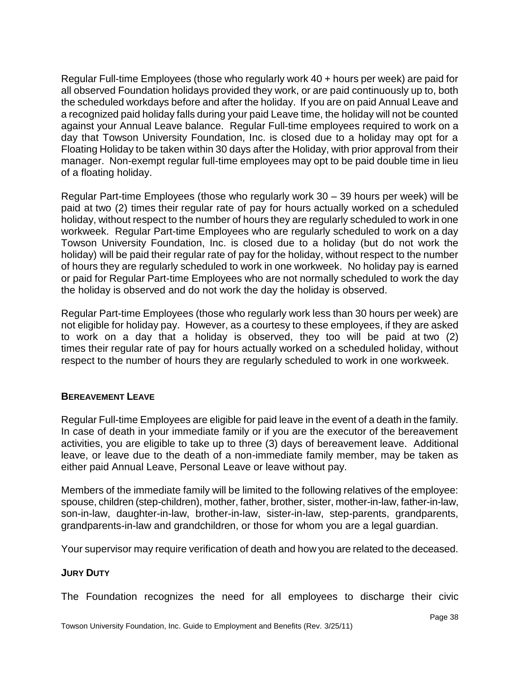Regular Full-time Employees (those who regularly work 40 + hours per week) are paid for all observed Foundation holidays provided they work, or are paid continuously up to, both the scheduled workdays before and after the holiday. If you are on paid Annual Leave and a recognized paid holiday falls during your paid Leave time, the holiday will not be counted against your Annual Leave balance. Regular Full-time employees required to work on a day that Towson University Foundation, Inc. is closed due to a holiday may opt for a Floating Holiday to be taken within 30 days after the Holiday, with prior approval from their manager. Non-exempt regular full-time employees may opt to be paid double time in lieu of a floating holiday.

Regular Part-time Employees (those who regularly work 30 – 39 hours per week) will be paid at two (2) times their regular rate of pay for hours actually worked on a scheduled holiday, without respect to the number of hours they are regularly scheduled to work in one workweek. Regular Part-time Employees who are regularly scheduled to work on a day Towson University Foundation, Inc. is closed due to a holiday (but do not work the holiday) will be paid their regular rate of pay for the holiday, without respect to the number of hours they are regularly scheduled to work in one workweek. No holiday pay is earned or paid for Regular Part-time Employees who are not normally scheduled to work the day the holiday is observed and do not work the day the holiday is observed.

Regular Part-time Employees (those who regularly work less than 30 hours per week) are not eligible for holiday pay. However, as a courtesy to these employees, if they are asked to work on a day that a holiday is observed, they too will be paid at two (2) times their regular rate of pay for hours actually worked on a scheduled holiday, without respect to the number of hours they are regularly scheduled to work in one workweek.

# <span id="page-37-0"></span>**BEREAVEMENT LEAVE**

Regular Full-time Employees are eligible for paid leave in the event of a death in the family. In case of death in your immediate family or if you are the executor of the bereavement activities, you are eligible to take up to three (3) days of bereavement leave. Additional leave, or leave due to the death of a non-immediate family member, may be taken as either paid Annual Leave, Personal Leave or leave without pay.

Members of the immediate family will be limited to the following relatives of the employee: spouse, children (step-children), mother, father, brother, sister, mother-in-law, father-in-law, son-in-law, daughter-in-law, brother-in-law, sister-in-law, step-parents, grandparents, grandparents-in-law and grandchildren, or those for whom you are a legal guardian.

Your supervisor may require verification of death and how you are related to the deceased.

# <span id="page-37-1"></span>**JURY DUTY**

The Foundation recognizes the need for all employees to discharge their civic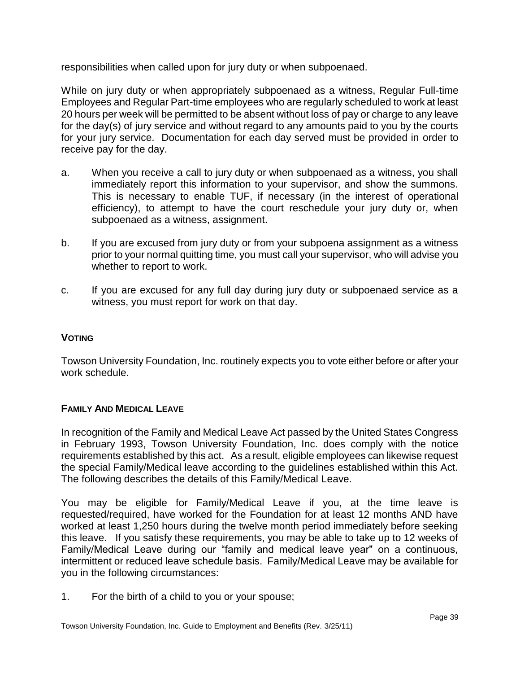responsibilities when called upon for jury duty or when subpoenaed.

While on jury duty or when appropriately subpoenaed as a witness, Regular Full-time Employees and Regular Part-time employees who are regularly scheduled to work at least 20 hours per week will be permitted to be absent without loss of pay or charge to any leave for the day(s) of jury service and without regard to any amounts paid to you by the courts for your jury service. Documentation for each day served must be provided in order to receive pay for the day.

- a. When you receive a call to jury duty or when subpoenaed as a witness, you shall immediately report this information to your supervisor, and show the summons. This is necessary to enable TUF, if necessary (in the interest of operational efficiency), to attempt to have the court reschedule your jury duty or, when subpoenaed as a witness, assignment.
- b. If you are excused from jury duty or from your subpoena assignment as a witness prior to your normal quitting time, you must call your supervisor, who will advise you whether to report to work.
- c. If you are excused for any full day during jury duty or subpoenaed service as a witness, you must report for work on that day.

# <span id="page-38-0"></span>**VOTING**

Towson University Foundation, Inc. routinely expects you to vote either before or after your work schedule.

# <span id="page-38-1"></span>**FAMILY AND MEDICAL LEAVE**

In recognition of the Family and Medical Leave Act passed by the United States Congress in February 1993, Towson University Foundation, Inc. does comply with the notice requirements established by this act. As a result, eligible employees can likewise request the special Family/Medical leave according to the guidelines established within this Act. The following describes the details of this Family/Medical Leave.

You may be eligible for Family/Medical Leave if you, at the time leave is requested/required, have worked for the Foundation for at least 12 months AND have worked at least 1,250 hours during the twelve month period immediately before seeking this leave. If you satisfy these requirements, you may be able to take up to 12 weeks of Family/Medical Leave during our "family and medical leave year" on a continuous, intermittent or reduced leave schedule basis. Family/Medical Leave may be available for you in the following circumstances:

1. For the birth of a child to you or your spouse;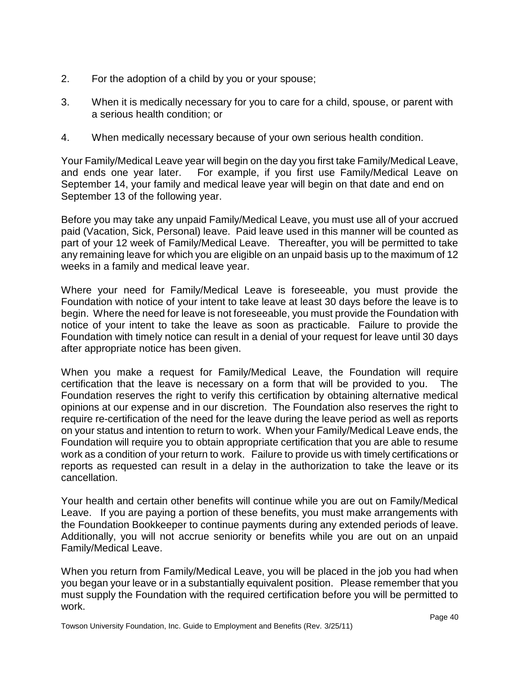- 2. For the adoption of a child by you or your spouse;
- 3. When it is medically necessary for you to care for a child, spouse, or parent with a serious health condition; or
- 4. When medically necessary because of your own serious health condition.

Your Family/Medical Leave year will begin on the day you first take Family/Medical Leave, and ends one year later. For example, if you first use Family/Medical Leave on September 14, your family and medical leave year will begin on that date and end on September 13 of the following year.

Before you may take any unpaid Family/Medical Leave, you must use all of your accrued paid (Vacation, Sick, Personal) leave. Paid leave used in this manner will be counted as part of your 12 week of Family/Medical Leave. Thereafter, you will be permitted to take any remaining leave for which you are eligible on an unpaid basis up to the maximum of 12 weeks in a family and medical leave year.

Where your need for Family/Medical Leave is foreseeable, you must provide the Foundation with notice of your intent to take leave at least 30 days before the leave is to begin. Where the need for leave is not foreseeable, you must provide the Foundation with notice of your intent to take the leave as soon as practicable. Failure to provide the Foundation with timely notice can result in a denial of your request for leave until 30 days after appropriate notice has been given.

When you make a request for Family/Medical Leave, the Foundation will require certification that the leave is necessary on a form that will be provided to you. The Foundation reserves the right to verify this certification by obtaining alternative medical opinions at our expense and in our discretion. The Foundation also reserves the right to require re-certification of the need for the leave during the leave period as well as reports on your status and intention to return to work. When your Family/Medical Leave ends, the Foundation will require you to obtain appropriate certification that you are able to resume work as a condition of your return to work. Failure to provide us with timely certifications or reports as requested can result in a delay in the authorization to take the leave or its cancellation.

Your health and certain other benefits will continue while you are out on Family/Medical Leave. If you are paying a portion of these benefits, you must make arrangements with the Foundation Bookkeeper to continue payments during any extended periods of leave. Additionally, you will not accrue seniority or benefits while you are out on an unpaid Family/Medical Leave.

When you return from Family/Medical Leave, you will be placed in the job you had when you began your leave or in a substantially equivalent position. Please remember that you must supply the Foundation with the required certification before you will be permitted to work.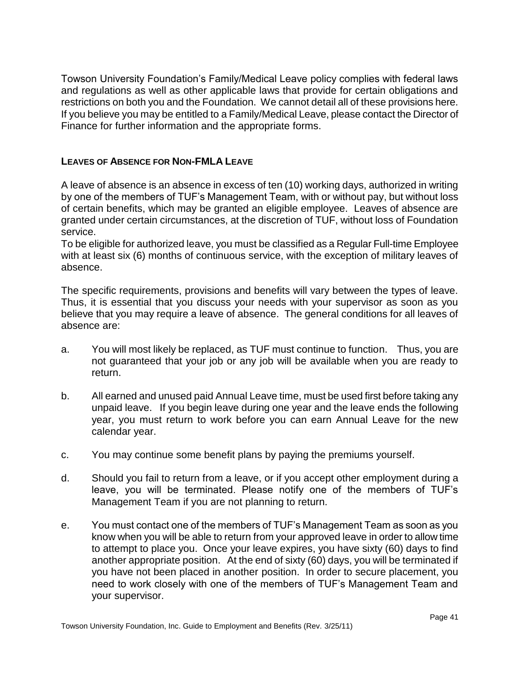Towson University Foundation's Family/Medical Leave policy complies with federal laws and regulations as well as other applicable laws that provide for certain obligations and restrictions on both you and the Foundation. We cannot detail all of these provisions here. If you believe you may be entitled to a Family/Medical Leave, please contact the Director of Finance for further information and the appropriate forms.

# <span id="page-40-0"></span>**LEAVES OF ABSENCE FOR NON-FMLA LEAVE**

A leave of absence is an absence in excess of ten (10) working days, authorized in writing by one of the members of TUF's Management Team, with or without pay, but without loss of certain benefits, which may be granted an eligible employee. Leaves of absence are granted under certain circumstances, at the discretion of TUF, without loss of Foundation service.

To be eligible for authorized leave, you must be classified as a Regular Full-time Employee with at least six (6) months of continuous service, with the exception of military leaves of absence.

The specific requirements, provisions and benefits will vary between the types of leave. Thus, it is essential that you discuss your needs with your supervisor as soon as you believe that you may require a leave of absence. The general conditions for all leaves of absence are:

- a. You will most likely be replaced, as TUF must continue to function. Thus, you are not guaranteed that your job or any job will be available when you are ready to return.
- b. All earned and unused paid Annual Leave time, must be used first before taking any unpaid leave. If you begin leave during one year and the leave ends the following year, you must return to work before you can earn Annual Leave for the new calendar year.
- c. You may continue some benefit plans by paying the premiums yourself.
- d. Should you fail to return from a leave, or if you accept other employment during a leave, you will be terminated. Please notify one of the members of TUF's Management Team if you are not planning to return.
- e. You must contact one of the members of TUF's Management Team as soon as you know when you will be able to return from your approved leave in order to allow time to attempt to place you. Once your leave expires, you have sixty (60) days to find another appropriate position. At the end of sixty (60) days, you will be terminated if you have not been placed in another position. In order to secure placement, you need to work closely with one of the members of TUF's Management Team and your supervisor.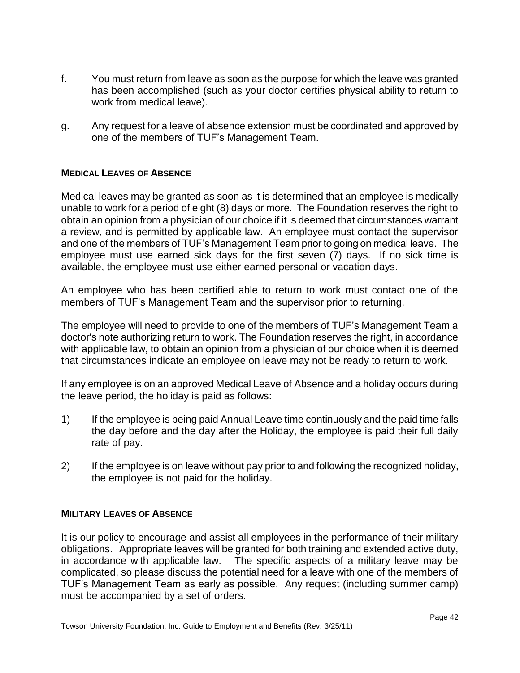- f. You must return from leave as soon as the purpose for which the leave was granted has been accomplished (such as your doctor certifies physical ability to return to work from medical leave).
- g. Any request for a leave of absence extension must be coordinated and approved by one of the members of TUF's Management Team.

# <span id="page-41-0"></span>**MEDICAL LEAVES OF ABSENCE**

Medical leaves may be granted as soon as it is determined that an employee is medically unable to work for a period of eight (8) days or more. The Foundation reserves the right to obtain an opinion from a physician of our choice if it is deemed that circumstances warrant a review, and is permitted by applicable law. An employee must contact the supervisor and one of the members of TUF's Management Team prior to going on medical leave. The employee must use earned sick days for the first seven (7) days. If no sick time is available, the employee must use either earned personal or vacation days.

An employee who has been certified able to return to work must contact one of the members of TUF's Management Team and the supervisor prior to returning.

The employee will need to provide to one of the members of TUF's Management Team a doctor's note authorizing return to work. The Foundation reserves the right, in accordance with applicable law, to obtain an opinion from a physician of our choice when it is deemed that circumstances indicate an employee on leave may not be ready to return to work.

If any employee is on an approved Medical Leave of Absence and a holiday occurs during the leave period, the holiday is paid as follows:

- 1) If the employee is being paid Annual Leave time continuously and the paid time falls the day before and the day after the Holiday, the employee is paid their full daily rate of pay.
- 2) If the employee is on leave without pay prior to and following the recognized holiday, the employee is not paid for the holiday.

# <span id="page-41-1"></span>**MILITARY LEAVES OF ABSENCE**

It is our policy to encourage and assist all employees in the performance of their military obligations. Appropriate leaves will be granted for both training and extended active duty, in accordance with applicable law. The specific aspects of a military leave may be complicated, so please discuss the potential need for a leave with one of the members of TUF's Management Team as early as possible. Any request (including summer camp) must be accompanied by a set of orders.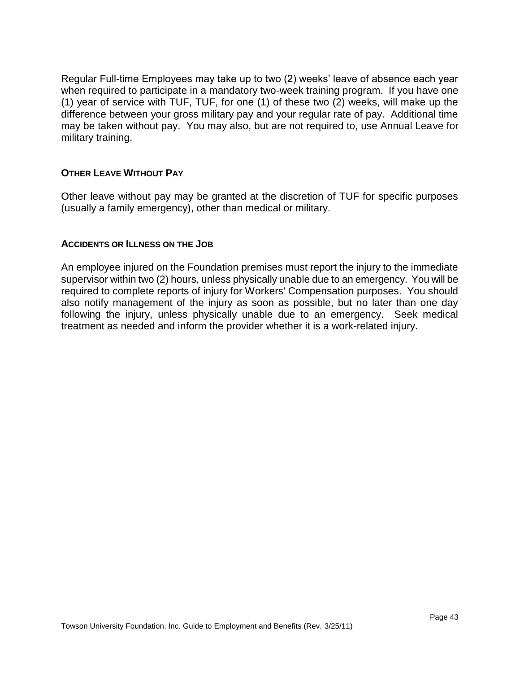Regular Full-time Employees may take up to two (2) weeks' leave of absence each year when required to participate in a mandatory two-week training program. If you have one (1) year of service with TUF, TUF, for one (1) of these two (2) weeks, will make up the difference between your gross military pay and your regular rate of pay. Additional time may be taken without pay. You may also, but are not required to, use Annual Leave for military training.

# <span id="page-42-0"></span>**OTHER LEAVE WITHOUT PAY**

Other leave without pay may be granted at the discretion of TUF for specific purposes (usually a family emergency), other than medical or military.

# <span id="page-42-1"></span>**ACCIDENTS OR ILLNESS ON THE JOB**

An employee injured on the Foundation premises must report the injury to the immediate supervisor within two (2) hours, unless physically unable due to an emergency. You will be required to complete reports of injury for Workers' Compensation purposes. You should also notify management of the injury as soon as possible, but no later than one day following the injury, unless physically unable due to an emergency. Seek medical treatment as needed and inform the provider whether it is a work-related injury.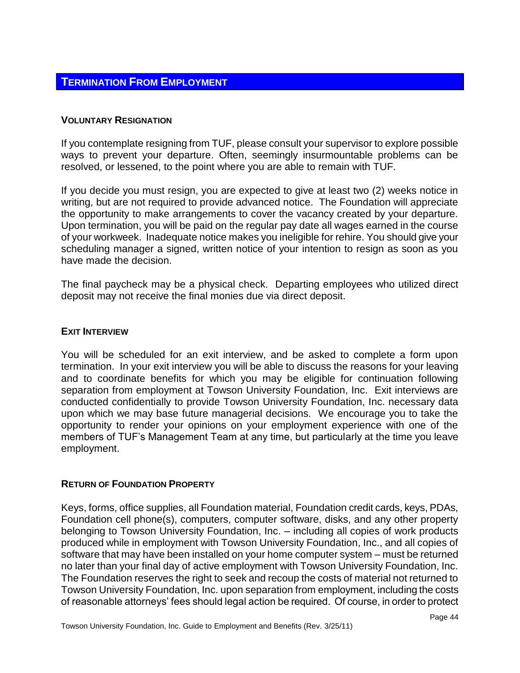# <span id="page-43-0"></span>**TERMINATION FROM EMPLOYMENT**

# <span id="page-43-1"></span>**VOLUNTARY RESIGNATION**

If you contemplate resigning from TUF, please consult your supervisor to explore possible ways to prevent your departure. Often, seemingly insurmountable problems can be resolved, or lessened, to the point where you are able to remain with TUF.

If you decide you must resign, you are expected to give at least two (2) weeks notice in writing, but are not required to provide advanced notice. The Foundation will appreciate the opportunity to make arrangements to cover the vacancy created by your departure. Upon termination, you will be paid on the regular pay date all wages earned in the course of your workweek. Inadequate notice makes you ineligible for rehire. You should give your scheduling manager a signed, written notice of your intention to resign as soon as you have made the decision.

The final paycheck may be a physical check. Departing employees who utilized direct deposit may not receive the final monies due via direct deposit.

### <span id="page-43-2"></span>**EXIT INTERVIEW**

You will be scheduled for an exit interview, and be asked to complete a form upon termination. In your exit interview you will be able to discuss the reasons for your leaving and to coordinate benefits for which you may be eligible for continuation following separation from employment at Towson University Foundation, Inc. Exit interviews are conducted confidentially to provide Towson University Foundation, Inc. necessary data upon which we may base future managerial decisions. We encourage you to take the opportunity to render your opinions on your employment experience with one of the members of TUF's Management Team at any time, but particularly at the time you leave employment.

#### <span id="page-43-3"></span>**RETURN OF FOUNDATION PROPERTY**

Keys, forms, office supplies, all Foundation material, Foundation credit cards, keys, PDAs, Foundation cell phone(s), computers, computer software, disks, and any other property belonging to Towson University Foundation, Inc. – including all copies of work products produced while in employment with Towson University Foundation, Inc., and all copies of software that may have been installed on your home computer system – must be returned no later than your final day of active employment with Towson University Foundation, Inc. The Foundation reserves the right to seek and recoup the costs of material not returned to Towson University Foundation, Inc. upon separation from employment, including the costs of reasonable attorneys' fees should legal action be required. Of course, in order to protect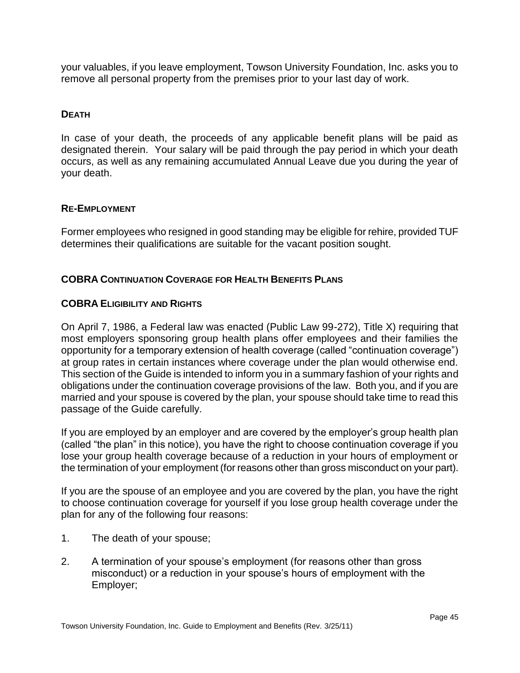your valuables, if you leave employment, Towson University Foundation, Inc. asks you to remove all personal property from the premises prior to your last day of work.

# <span id="page-44-0"></span>**DEATH**

In case of your death, the proceeds of any applicable benefit plans will be paid as designated therein. Your salary will be paid through the pay period in which your death occurs, as well as any remaining accumulated Annual Leave due you during the year of your death.

# <span id="page-44-1"></span>**RE-EMPLOYMENT**

Former employees who resigned in good standing may be eligible for rehire, provided TUF determines their qualifications are suitable for the vacant position sought.

# <span id="page-44-2"></span>**COBRA CONTINUATION COVERAGE FOR HEALTH BENEFITS PLANS**

# <span id="page-44-3"></span>**COBRA ELIGIBILITY AND RIGHTS**

On April 7, 1986, a Federal law was enacted (Public Law 99-272), Title X) requiring that most employers sponsoring group health plans offer employees and their families the opportunity for a temporary extension of health coverage (called "continuation coverage") at group rates in certain instances where coverage under the plan would otherwise end. This section of the Guide is intended to inform you in a summary fashion of your rights and obligations under the continuation coverage provisions of the law. Both you, and if you are married and your spouse is covered by the plan, your spouse should take time to read this passage of the Guide carefully.

If you are employed by an employer and are covered by the employer's group health plan (called "the plan" in this notice), you have the right to choose continuation coverage if you lose your group health coverage because of a reduction in your hours of employment or the termination of your employment (for reasons other than gross misconduct on your part).

If you are the spouse of an employee and you are covered by the plan, you have the right to choose continuation coverage for yourself if you lose group health coverage under the plan for any of the following four reasons:

- 1. The death of your spouse;
- 2. A termination of your spouse's employment (for reasons other than gross misconduct) or a reduction in your spouse's hours of employment with the Employer;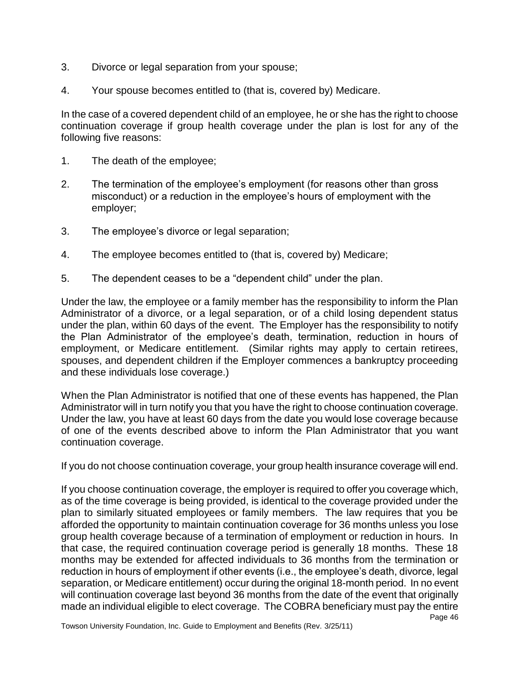- 3. Divorce or legal separation from your spouse;
- 4. Your spouse becomes entitled to (that is, covered by) Medicare.

In the case of a covered dependent child of an employee, he or she has the right to choose continuation coverage if group health coverage under the plan is lost for any of the following five reasons:

- 1. The death of the employee;
- 2. The termination of the employee's employment (for reasons other than gross misconduct) or a reduction in the employee's hours of employment with the employer;
- 3. The employee's divorce or legal separation;
- 4. The employee becomes entitled to (that is, covered by) Medicare;
- 5. The dependent ceases to be a "dependent child" under the plan.

Under the law, the employee or a family member has the responsibility to inform the Plan Administrator of a divorce, or a legal separation, or of a child losing dependent status under the plan, within 60 days of the event. The Employer has the responsibility to notify the Plan Administrator of the employee's death, termination, reduction in hours of employment, or Medicare entitlement. (Similar rights may apply to certain retirees, spouses, and dependent children if the Employer commences a bankruptcy proceeding and these individuals lose coverage.)

When the Plan Administrator is notified that one of these events has happened, the Plan Administrator will in turn notify you that you have the right to choose continuation coverage. Under the law, you have at least 60 days from the date you would lose coverage because of one of the events described above to inform the Plan Administrator that you want continuation coverage.

If you do not choose continuation coverage, your group health insurance coverage will end.

If you choose continuation coverage, the employer is required to offer you coverage which, as of the time coverage is being provided, is identical to the coverage provided under the plan to similarly situated employees or family members. The law requires that you be afforded the opportunity to maintain continuation coverage for 36 months unless you lose group health coverage because of a termination of employment or reduction in hours. In that case, the required continuation coverage period is generally 18 months. These 18 months may be extended for affected individuals to 36 months from the termination or reduction in hours of employment if other events (i.e., the employee's death, divorce, legal separation, or Medicare entitlement) occur during the original 18-month period. In no event will continuation coverage last beyond 36 months from the date of the event that originally made an individual eligible to elect coverage. The COBRA beneficiary must pay the entire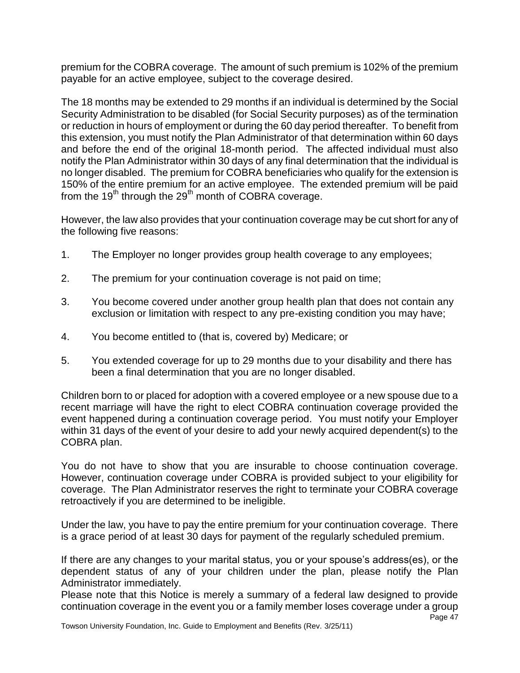premium for the COBRA coverage. The amount of such premium is 102% of the premium payable for an active employee, subject to the coverage desired.

The 18 months may be extended to 29 months if an individual is determined by the Social Security Administration to be disabled (for Social Security purposes) as of the termination or reduction in hours of employment or during the 60 day period thereafter. To benefit from this extension, you must notify the Plan Administrator of that determination within 60 days and before the end of the original 18-month period. The affected individual must also notify the Plan Administrator within 30 days of any final determination that the individual is no longer disabled. The premium for COBRA beneficiaries who qualify for the extension is 150% of the entire premium for an active employee. The extended premium will be paid from the  $19<sup>th</sup>$  through the  $29<sup>th</sup>$  month of COBRA coverage.

However, the law also provides that your continuation coverage may be cut short for any of the following five reasons:

- 1. The Employer no longer provides group health coverage to any employees;
- 2. The premium for your continuation coverage is not paid on time;
- 3. You become covered under another group health plan that does not contain any exclusion or limitation with respect to any pre-existing condition you may have;
- 4. You become entitled to (that is, covered by) Medicare; or
- 5. You extended coverage for up to 29 months due to your disability and there has been a final determination that you are no longer disabled.

Children born to or placed for adoption with a covered employee or a new spouse due to a recent marriage will have the right to elect COBRA continuation coverage provided the event happened during a continuation coverage period. You must notify your Employer within 31 days of the event of your desire to add your newly acquired dependent(s) to the COBRA plan.

You do not have to show that you are insurable to choose continuation coverage. However, continuation coverage under COBRA is provided subject to your eligibility for coverage. The Plan Administrator reserves the right to terminate your COBRA coverage retroactively if you are determined to be ineligible.

Under the law, you have to pay the entire premium for your continuation coverage. There is a grace period of at least 30 days for payment of the regularly scheduled premium.

If there are any changes to your marital status, you or your spouse's address(es), or the dependent status of any of your children under the plan, please notify the Plan Administrator immediately.

Please note that this Notice is merely a summary of a federal law designed to provide continuation coverage in the event you or a family member loses coverage under a group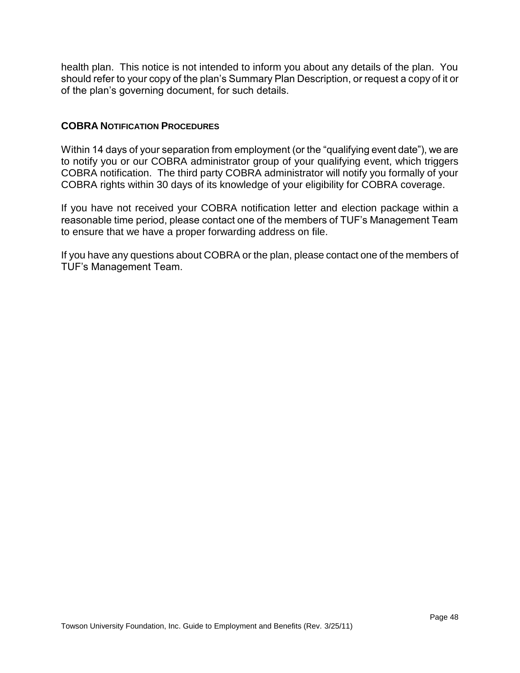health plan. This notice is not intended to inform you about any details of the plan. You should refer to your copy of the plan's Summary Plan Description, or request a copy of it or of the plan's governing document, for such details.

# <span id="page-47-0"></span>**COBRA NOTIFICATION PROCEDURES**

Within 14 days of your separation from employment (or the "qualifying event date"), we are to notify you or our COBRA administrator group of your qualifying event, which triggers COBRA notification. The third party COBRA administrator will notify you formally of your COBRA rights within 30 days of its knowledge of your eligibility for COBRA coverage.

If you have not received your COBRA notification letter and election package within a reasonable time period, please contact one of the members of TUF's Management Team to ensure that we have a proper forwarding address on file.

If you have any questions about COBRA or the plan, please contact one of the members of TUF's Management Team.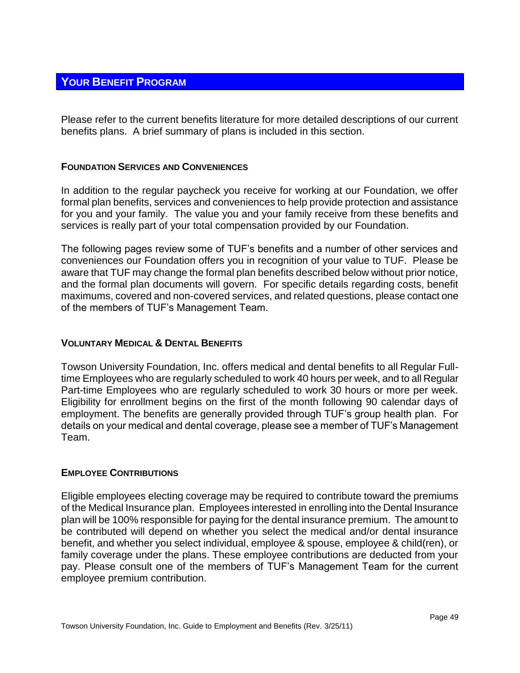# <span id="page-48-0"></span>**YOUR BENEFIT PROGRAM**

Please refer to the current benefits literature for more detailed descriptions of our current benefits plans. A brief summary of plans is included in this section.

# <span id="page-48-1"></span>**FOUNDATION SERVICES AND CONVENIENCES**

In addition to the regular paycheck you receive for working at our Foundation, we offer formal plan benefits, services and conveniences to help provide protection and assistance for you and your family. The value you and your family receive from these benefits and services is really part of your total compensation provided by our Foundation.

The following pages review some of TUF's benefits and a number of other services and conveniences our Foundation offers you in recognition of your value to TUF. Please be aware that TUF may change the formal plan benefits described below without prior notice, and the formal plan documents will govern. For specific details regarding costs, benefit maximums, covered and non-covered services, and related questions, please contact one of the members of TUF's Management Team.

# <span id="page-48-2"></span>**VOLUNTARY MEDICAL & DENTAL BENEFITS**

Towson University Foundation, Inc. offers medical and dental benefits to all Regular Fulltime Employees who are regularly scheduled to work 40 hours per week, and to all Regular Part-time Employees who are regularly scheduled to work 30 hours or more per week. Eligibility for enrollment begins on the first of the month following 90 calendar days of employment. The benefits are generally provided through TUF's group health plan. For details on your medical and dental coverage, please see a member of TUF's Management Team.

# <span id="page-48-3"></span>**EMPLOYEE CONTRIBUTIONS**

Eligible employees electing coverage may be required to contribute toward the premiums of the Medical Insurance plan. Employees interested in enrolling into the Dental Insurance plan will be 100% responsible for paying for the dental insurance premium. The amount to be contributed will depend on whether you select the medical and/or dental insurance benefit, and whether you select individual, employee & spouse, employee & child(ren), or family coverage under the plans. These employee contributions are deducted from your pay. Please consult one of the members of TUF's Management Team for the current employee premium contribution.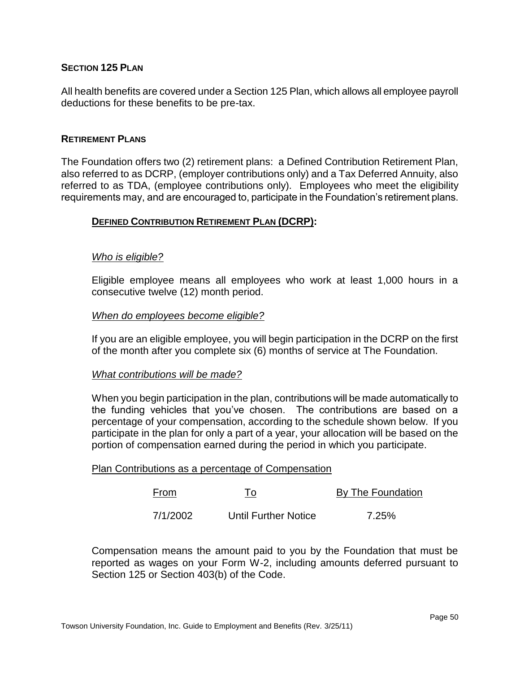# <span id="page-49-0"></span>**SECTION 125 PLAN**

All health benefits are covered under a Section 125 Plan, which allows all employee payroll deductions for these benefits to be pre-tax.

#### <span id="page-49-1"></span>**RETIREMENT PLANS**

The Foundation offers two (2) retirement plans: a Defined Contribution Retirement Plan, also referred to as DCRP, (employer contributions only) and a Tax Deferred Annuity, also referred to as TDA, (employee contributions only)*.* Employees who meet the eligibility requirements may, and are encouraged to, participate in the Foundation's retirement plans.

# <span id="page-49-2"></span>**DEFINED CONTRIBUTION RETIREMENT PLAN (DCRP):**

#### *Who is eligible?*

Eligible employee means all employees who work at least 1,000 hours in a consecutive twelve (12) month period.

#### *When do employees become eligible?*

If you are an eligible employee, you will begin participation in the DCRP on the first of the month after you complete six (6) months of service at The Foundation.

#### *What contributions will be made?*

When you begin participation in the plan, contributions will be made automatically to the funding vehicles that you've chosen. The contributions are based on a percentage of your compensation, according to the schedule shown below. If you participate in the plan for only a part of a year, your allocation will be based on the portion of compensation earned during the period in which you participate.

#### Plan Contributions as a percentage of Compensation

| From     | To                   | By The Foundation |
|----------|----------------------|-------------------|
| 7/1/2002 | Until Further Notice | 7.25%             |

Compensation means the amount paid to you by the Foundation that must be reported as wages on your Form W-2, including amounts deferred pursuant to Section 125 or Section 403(b) of the Code.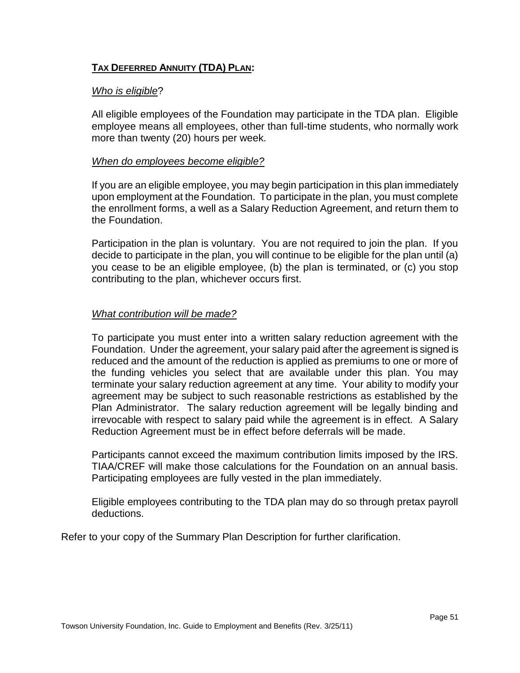# <span id="page-50-0"></span>**TAX DEFERRED ANNUITY (TDA) PLAN:**

# *Who is eligible*?

All eligible employees of the Foundation may participate in the TDA plan. Eligible employee means all employees, other than full-time students, who normally work more than twenty (20) hours per week.

# *When do employees become eligible?*

If you are an eligible employee, you may begin participation in this plan immediately upon employment at the Foundation. To participate in the plan, you must complete the enrollment forms, a well as a Salary Reduction Agreement, and return them to the Foundation.

Participation in the plan is voluntary. You are not required to join the plan. If you decide to participate in the plan, you will continue to be eligible for the plan until (a) you cease to be an eligible employee, (b) the plan is terminated, or (c) you stop contributing to the plan, whichever occurs first.

# *What contribution will be made?*

To participate you must enter into a written salary reduction agreement with the Foundation. Under the agreement, your salary paid after the agreement is signed is reduced and the amount of the reduction is applied as premiums to one or more of the funding vehicles you select that are available under this plan. You may terminate your salary reduction agreement at any time. Your ability to modify your agreement may be subject to such reasonable restrictions as established by the Plan Administrator. The salary reduction agreement will be legally binding and irrevocable with respect to salary paid while the agreement is in effect. A Salary Reduction Agreement must be in effect before deferrals will be made.

Participants cannot exceed the maximum contribution limits imposed by the IRS. TIAA/CREF will make those calculations for the Foundation on an annual basis. Participating employees are fully vested in the plan immediately.

Eligible employees contributing to the TDA plan may do so through pretax payroll deductions.

Refer to your copy of the Summary Plan Description for further clarification.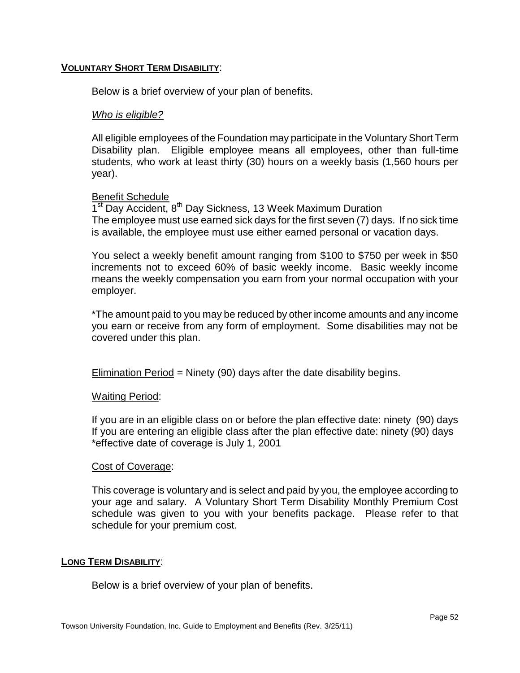# **VOLUNTARY SHORT TERM DISABILITY**:

Below is a brief overview of your plan of benefits.

### *Who is eligible?*

All eligible employees of the Foundation may participate in the Voluntary Short Term Disability plan. Eligible employee means all employees, other than full-time students, who work at least thirty (30) hours on a weekly basis (1,560 hours per year).

#### Benefit Schedule

1<sup>st</sup> Day Accident, 8<sup>th</sup> Day Sickness, 13 Week Maximum Duration The employee must use earned sick days for the first seven (7) days. If no sick time is available, the employee must use either earned personal or vacation days.

You select a weekly benefit amount ranging from \$100 to \$750 per week in \$50 increments not to exceed 60% of basic weekly income. Basic weekly income means the weekly compensation you earn from your normal occupation with your employer.

\*The amount paid to you may be reduced by other income amounts and any income you earn or receive from any form of employment. Some disabilities may not be covered under this plan.

Elimination Period = Ninety (90) days after the date disability begins.

# Waiting Period:

If you are in an eligible class on or before the plan effective date: ninety (90) days If you are entering an eligible class after the plan effective date: ninety (90) days \*effective date of coverage is July 1, 2001

#### Cost of Coverage:

This coverage is voluntary and is select and paid by you, the employee according to your age and salary. A Voluntary Short Term Disability Monthly Premium Cost schedule was given to you with your benefits package. Please refer to that schedule for your premium cost.

#### **LONG TERM DISABILITY**:

Below is a brief overview of your plan of benefits.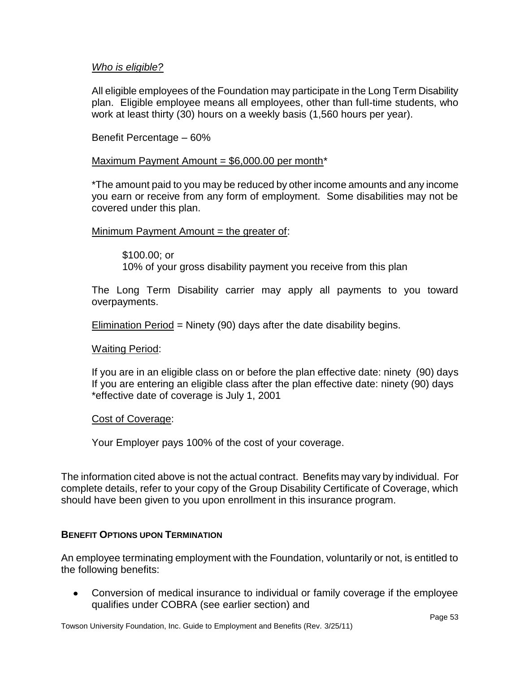# *Who is eligible?*

All eligible employees of the Foundation may participate in the Long Term Disability plan. Eligible employee means all employees, other than full-time students, who work at least thirty (30) hours on a weekly basis (1,560 hours per year).

Benefit Percentage – 60%

# Maximum Payment Amount =  $$6,000.00$  per month\*

\*The amount paid to you may be reduced by other income amounts and any income you earn or receive from any form of employment. Some disabilities may not be covered under this plan.

# Minimum Payment Amount  $=$  the greater of:

\$100.00; or 10% of your gross disability payment you receive from this plan

The Long Term Disability carrier may apply all payments to you toward overpayments.

Elimination Period = Ninety (90) days after the date disability begins.

# Waiting Period:

If you are in an eligible class on or before the plan effective date: ninety (90) days If you are entering an eligible class after the plan effective date: ninety (90) days \*effective date of coverage is July 1, 2001

# Cost of Coverage:

Your Employer pays 100% of the cost of your coverage.

The information cited above is not the actual contract. Benefits may vary by individual. For complete details, refer to your copy of the Group Disability Certificate of Coverage, which should have been given to you upon enrollment in this insurance program.

# <span id="page-52-0"></span>**BENEFIT OPTIONS UPON TERMINATION**

An employee terminating employment with the Foundation, voluntarily or not, is entitled to the following benefits:

 $\bullet$ Conversion of medical insurance to individual or family coverage if the employee qualifies under COBRA (see earlier section) and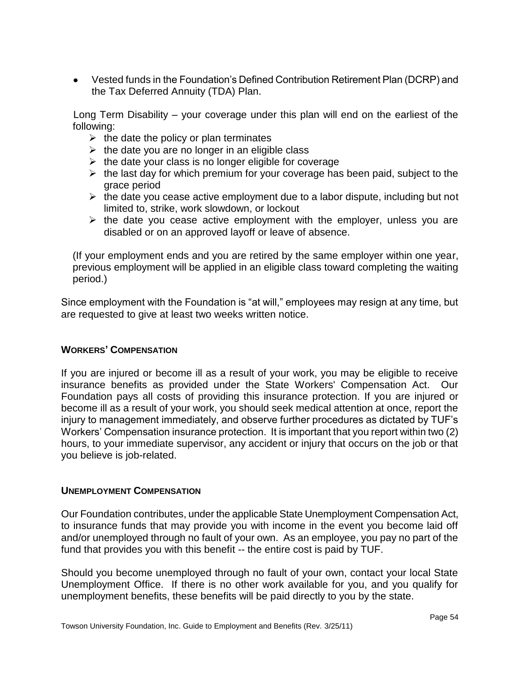Vested funds in the Foundation's Defined Contribution Retirement Plan (DCRP) and the Tax Deferred Annuity (TDA) Plan.

Long Term Disability – your coverage under this plan will end on the earliest of the following:

- $\triangleright$  the date the policy or plan terminates
- $\triangleright$  the date you are no longer in an eligible class
- $\triangleright$  the date your class is no longer eligible for coverage
- $\triangleright$  the last day for which premium for your coverage has been paid, subject to the grace period
- $\triangleright$  the date you cease active employment due to a labor dispute, including but not limited to, strike, work slowdown, or lockout
- $\triangleright$  the date you cease active employment with the employer, unless you are disabled or on an approved layoff or leave of absence.

(If your employment ends and you are retired by the same employer within one year, previous employment will be applied in an eligible class toward completing the waiting period.)

Since employment with the Foundation is "at will," employees may resign at any time, but are requested to give at least two weeks written notice.

# <span id="page-53-0"></span>**WORKERS' COMPENSATION**

If you are injured or become ill as a result of your work, you may be eligible to receive insurance benefits as provided under the State Workers' Compensation Act. Our Foundation pays all costs of providing this insurance protection. If you are injured or become ill as a result of your work, you should seek medical attention at once, report the injury to management immediately, and observe further procedures as dictated by TUF's Workers' Compensation insurance protection. It is important that you report within two (2) hours, to your immediate supervisor, any accident or injury that occurs on the job or that you believe is job-related.

# <span id="page-53-1"></span>**UNEMPLOYMENT COMPENSATION**

Our Foundation contributes, under the applicable State Unemployment Compensation Act, to insurance funds that may provide you with income in the event you become laid off and/or unemployed through no fault of your own. As an employee, you pay no part of the fund that provides you with this benefit -- the entire cost is paid by TUF.

Should you become unemployed through no fault of your own, contact your local State Unemployment Office. If there is no other work available for you, and you qualify for unemployment benefits, these benefits will be paid directly to you by the state.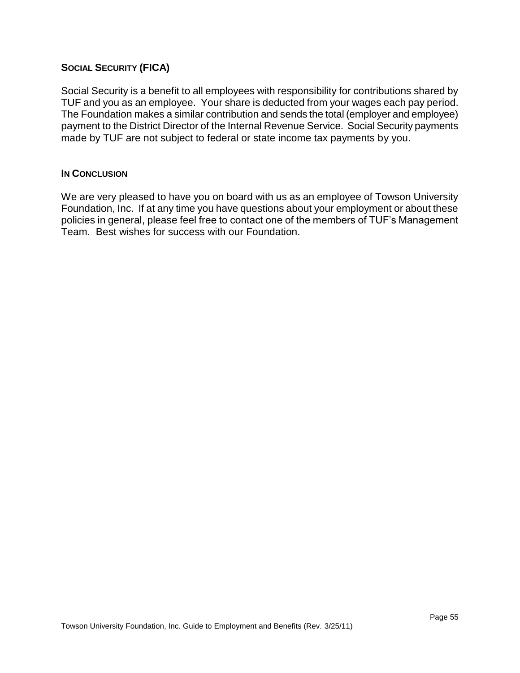# <span id="page-54-0"></span>**SOCIAL SECURITY (FICA)**

Social Security is a benefit to all employees with responsibility for contributions shared by TUF and you as an employee. Your share is deducted from your wages each pay period. The Foundation makes a similar contribution and sends the total (employer and employee) payment to the District Director of the Internal Revenue Service. Social Security payments made by TUF are not subject to federal or state income tax payments by you.

# **IN CONCLUSION**

We are very pleased to have you on board with us as an employee of Towson University Foundation, Inc. If at any time you have questions about your employment or about these policies in general, please feel free to contact one of the members of TUF's Management Team. Best wishes for success with our Foundation.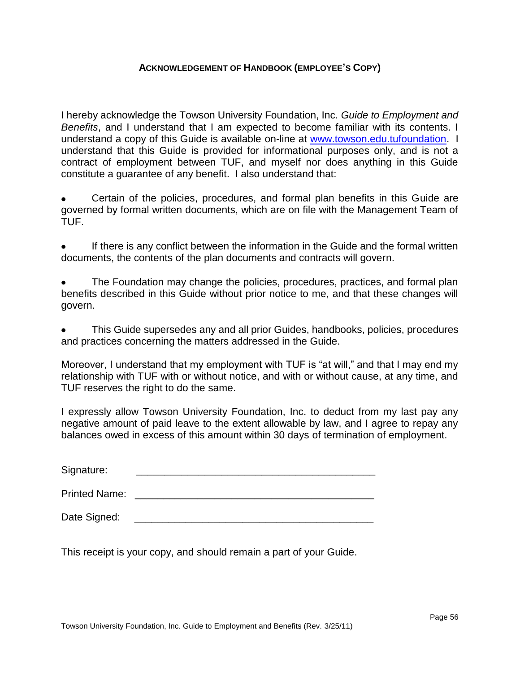# **ACKNOWLEDGEMENT OF HANDBOOK (EMPLOYEE'S COPY)**

<span id="page-55-0"></span>I hereby acknowledge the Towson University Foundation, Inc. *Guide to Employment and Benefits*, and I understand that I am expected to become familiar with its contents. I understand a copy of this Guide is available on-line at [www.towson.edu.tufoundation.](http://www.towson.edu.tufoundation/) I understand that this Guide is provided for informational purposes only, and is not a contract of employment between TUF, and myself nor does anything in this Guide constitute a guarantee of any benefit. I also understand that:

Certain of the policies, procedures, and formal plan benefits in this Guide are governed by formal written documents, which are on file with the Management Team of TUF.

If there is any conflict between the information in the Guide and the formal written documents, the contents of the plan documents and contracts will govern.

The Foundation may change the policies, procedures, practices, and formal plan benefits described in this Guide without prior notice to me, and that these changes will govern.

This Guide supersedes any and all prior Guides, handbooks, policies, procedures and practices concerning the matters addressed in the Guide.

Moreover, I understand that my employment with TUF is "at will," and that I may end my relationship with TUF with or without notice, and with or without cause, at any time, and TUF reserves the right to do the same.

I expressly allow Towson University Foundation, Inc. to deduct from my last pay any negative amount of paid leave to the extent allowable by law, and I agree to repay any balances owed in excess of this amount within 30 days of termination of employment.

| Signature:           |  |
|----------------------|--|
|                      |  |
| <b>Printed Name:</b> |  |

Date Signed:

This receipt is your copy, and should remain a part of your Guide.